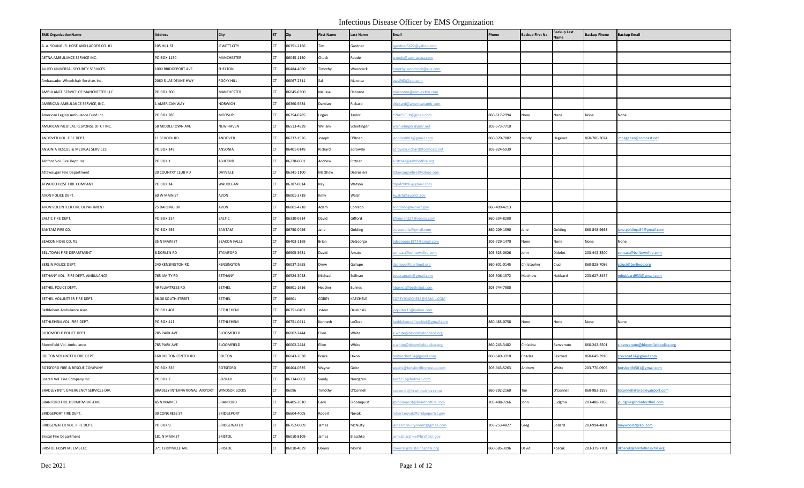| <b>EMS OrganizationName</b>            | <b>Address</b>                | City                 | <b>ST</b> | Zip        | <b>First Name</b> | <b>Last Name</b> | Email                         | Phone        | <b>Backup First Na</b> | Backup Last<br>lame                                                             | <b>Backup Phone</b> | <b>Backup Email</b>             |
|----------------------------------------|-------------------------------|----------------------|-----------|------------|-------------------|------------------|-------------------------------|--------------|------------------------|---------------------------------------------------------------------------------|---------------------|---------------------------------|
| A. A. YOUNG JR. HOSE AND LADDER CO. #1 | 105 HILL ST                   | JEWETT CITY          |           | 06351-2156 | Tim               | Gardner          | ardner5622@yahoo.com          |              |                        |                                                                                 |                     |                                 |
| AETNA AMBULANCE SERVICE INC.           | PO BOX 1150                   | MANCHESTER           |           | 06045-1150 | Chuck             | Roode            | roode@asm-aetna.com           |              |                        |                                                                                 |                     |                                 |
| ALLIED UNIVERSAL SECURITY SERVICES     | 1000 BRIDGEPORT AVE           | SHELTON              |           | 06484-4660 | Timothy           | Woodcock         | imothy.woodcock@aus.com       |              |                        |                                                                                 |                     |                                 |
| Ambassador Wheelchair Services Inc.    | 2060 SILAS DEANE HWY          | ROCKY HILL           |           | 06067-2311 | Sal               | Marotta          | wsi963@aol.com                |              |                        |                                                                                 |                     |                                 |
| AMBULANCE SERVICE OF MANCHESTER LLC    | PO BOX 300                    | MANCHESTER           |           | 06045-0300 | Melissa           | Osborne          | nosborne@asm-aetna.com        |              |                        |                                                                                 |                     |                                 |
| AMERICAN AMBULANCE SERVICE, INC.       | 1 AMERICAN WAY                | NORWICH              |           | 06360-5634 | Damian            | Rickard          | lrickard@americanamb.com      |              |                        |                                                                                 |                     |                                 |
| American Legion Ambulance Fund Inc.    | <b>PO BOX 785</b>             | MOOSUP               |           | 06354-0785 | Logan             | Taylor           | 594r595.It@gmail.com          | 860-617-2994 | None                   | None                                                                            | None                | None                            |
| AMERICAN MEDICAL RESPONSE OF CT INC.   | 58 MIDDLETOWN AVE             | <b>NEW HAVEN</b>     |           | 06513-4839 | William           | Schietinger      | vschietinger@gmr.net          | 203-573-7710 |                        |                                                                                 |                     |                                 |
| ANDOVER VOL. FIRE DEPT.                | 11 SCHOOL RD                  | ANDOVER              |           | 06232-1526 | Joseph            | O'Brien          | obrien001@gmail.com           | 860-970-7882 | Mindy                  | legener                                                                         | 860-706-3074        | nhegener@comcast.net            |
| ANSONIA RESCUE & MEDICAL SERVICES      | PO BOX 149                    | ANSONIA              |           | 06401-0149 | Richard           | Zdrowski         | drowski.richard@comcast.net   | 203-824-5939 |                        |                                                                                 |                     |                                 |
| Ashford Vol. Fire Dept. Inc.           | PO BOX 1                      | ASHFORD              |           | 06278-0001 | Andrew            | Rittner          | .rittner@ashfordfire.org      |              |                        |                                                                                 |                     |                                 |
| Attawaugan Fire Department             | 20 COUNTRY CLUB RD            | DAYVILLE             |           | 06241-1100 | Matthew           | Desrosiers       | ttawauganfire@yahoo.com       |              |                        |                                                                                 |                     |                                 |
| ATWOOD HOSE FIRE COMPANY               | PO BOX 14                     | WAUREGAN             |           | 06387-0014 | Ray               | Watson           | dpatch096@gmail.com           |              |                        |                                                                                 |                     |                                 |
| AVON POLICE DEPT.                      | 60 W MAIN ST                  | AVON                 |           | 06001-3719 | Kelly             | Walsh            | walsh@avonct.gov              |              |                        |                                                                                 |                     |                                 |
| AVON VOLUNTEER FIRE DEPARTMENT         | 25 DARLING DR                 | AVON                 |           | 06001-4218 | Adam              | Corrado          | corrado@avonct.gov            | 860-409-4213 |                        |                                                                                 |                     |                                 |
| BALTIC FIRE DEPT.                      | PO BOX 314                    | <b>BALTIC</b>        |           | 06330-0314 | David             | Gifford          | fireman224@yahoo.com          | 860-334-8200 |                        |                                                                                 |                     |                                 |
| BANTAM FIRE CO.                        | PO BOX 456                    | BANTAM               |           | 06750-0456 | Jane              | Golding          | oycurulla@gmail.com           | 860-209-1590 | lane                   | Golding                                                                         | 860-848-9668        | ane.goldings54@gmail.com        |
| BEACON HOSE CO. #1                     | 35 N MAIN ST                  | <b>BEACON FALLS</b>  |           | 06403-1169 | Brian             | DeGeorge         | degeorge1977@gmail.com        | 203-729-1470 | None                   | None                                                                            | None                | None                            |
| BELLTOWN FIRE DEPARTMENT               | 8 DORLEN RD                   | STAMFORD             |           | 06905-3631 | David             | Amato            | ontact@belltownfire.com       | 203-323-0626 | lohn                   | Didelot                                                                         | 203-442-3500        | ontact@belltownfire.com         |
| BERLIN POLICE DEPT.                    | 240 KENSINGTON RD             | KENSINGTON           |           | 06037-2655 | Drew              | Gallupe          | gallupe@berlinpd.org          | 860-801-0145 | hristopher             | Ciuci                                                                           | 860-828-7086        | ciuci@berlinpd.org              |
| BETHANY VOL. FIRE DEPT. AMBULANCE      | 765 AMITY RD                  | <b>BETHANY</b>       |           | 06524-3028 | Michael           | Sullivan         | vaccaptain@gmail.com          | 203-506-1572 | Matthew                | lubbard                                                                         | 203-627-8457        | nhubbard933@gmail.com           |
| BETHEL POLICE DEPT.                    | 49 PLUMTREES RD               | <b>BETHEL</b>        |           | 06801-1616 | Heather           | Burnes           | burnes@bethelpd.com           | 203-744-7900 |                        |                                                                                 |                     |                                 |
| BETHEL VOLUNTEER FIRE DEPT.            | <b>86-38 SOUTH STREET</b>     | <b>BETHEL</b>        |           | 06801      | COREY             | KAECHELE         | OREYJKAECHELE@GMAIL.COM       |              |                        |                                                                                 |                     |                                 |
| Bethlehem Ambulance Assn.              | PO BOX 401                    | BETHLEHEM            |           | 06751-0401 | JoAnn             | Dzielinski       | oquilter13@yahoo.com          |              |                        |                                                                                 |                     |                                 |
| BETHLEHEM VOL. FIRE DEPT.              | PO BOX 411                    | BETHLEHEM            |           | 06751-0411 | Kenneth           | LeClerc          | ethlehemctfirechief@gmail.com | 860-483-0758 | None                   | None                                                                            | None                | None                            |
| BLOOMFIELD POLICE DEPT.                | 785 PARK AVE                  | BLOOMFIELD           |           | 06002-2444 | Ellen             | White            | white@bloomfieldpolice.org    |              |                        |                                                                                 |                     |                                 |
| Bloomfield Vol. Ambulance              | 785 PARK AVE                  | <b>BLOOMFIELD</b>    |           | 06002-2444 | Ellen             | White            | white@bloomfieldpolice.org    | 860-243-3482 | Christina              | senvenuto                                                                       | 860-242-5501        | .benvenuto@bloomfieldpolice.org |
| BOLTON VOLUNTEER FIRE DEPT.            | 168 BOLTON CENTER RD          | <b>BOLTON</b>        |           | 06043-7638 | Bruce             | Dixon            | oltonchief34@gmail.com        | 860-649-3910 | Charles                | <b>Rexroad</b>                                                                  | 860-649-3910        | rexroad34@gmail.com             |
| BOTSFORD FIRE & RESCUE COMPANY         | PO BOX 335                    | <b>BOTSFORD</b>      |           | 06404-0335 | Wayne             | Geitz            | rgeitz@botsfordfirerescue.com | 203-943-5263 | Andrew                 | White                                                                           | 203-770-0909        | otsfordfd501@gmail.com          |
| Bozrah Vol. Fire Company Inc.          | PO BOX 2                      | <b>BOZRAH</b>        |           | 06334-0002 | Sandy             | Nordgren         | an2257@hotmail.com            |              |                        |                                                                                 |                     |                                 |
| BRADLEY INT'L EMERGENCY SERVICES DIV.  | BRADLEY INTERNATIONAL AIRPORT | <b>WINDSOR LOCKS</b> | <b>CT</b> | 06096      | Timothy           | O'Connell        | oconnell@bradleyairport.com   | 860-292-2160 | Tim                    | O'Connell                                                                       | 860-982-2559        | oconnell@bradleyairport.com     |
| BRANFORD FIRE DEPARTMENT-EMS           | 45 N MAIN ST                  | <b>BRANFORD</b>      |           | 06405-3010 | Gary              | Bloomquist       | oloomquist@branfordfire.com   | 203-488-7266 | John                   | Cudgma                                                                          | 203-488-7266        | cudgma@branfordfire.com         |
| BRIDGEPORT FIRE DEPT.                  | 30 CONGRESS ST                | <b>BRIDGEPORT</b>    |           | 06604-4005 | Robert            | Novak            | obert.novak@bridgeportct.gov  |              |                        |                                                                                 |                     |                                 |
| BRIDGEWATER VOL. FIRE DEPT.            | PO BOX 9                      | BRIDGEWATER          |           | 06752-0009 | James             | McNulty          | mesmcnultynremt@gmail.com     | 203-253-4827 | Greg                   | Bollard                                                                         | 203-994-4801        | naywood2@aol.com                |
| <b>Bristol Fire Department</b>         | 181 N MAIN ST                 | <b>BRISTOL</b>       |           | 06010-8109 | James             | Blaschke         | mesblaschke@bristolct.gov     |              |                        |                                                                                 |                     |                                 |
| BRISTOL HOSPITAL EMS LLC               | 371 TERRYVILLE AVE            | <b>BRISTOL</b>       |           | 06010-4029 | Donna             | Morris           | morris@bristolhospital.org    | 860-585-3096 | David                  | <oscuk< td=""><td>203-379-7701</td><td>koscuk@bristolhospital.org</td></oscuk<> | 203-379-7701        | koscuk@bristolhospital.org      |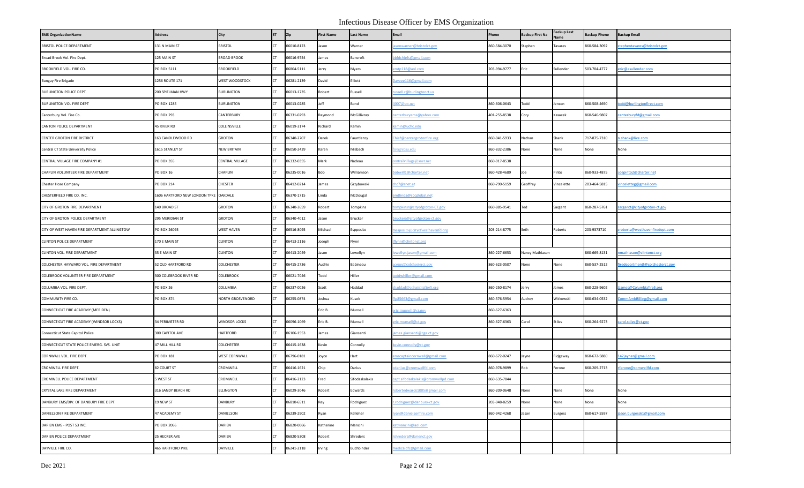| <b>EMS OrganizationName</b>                  | <b>Address</b>                        | City                   | <b>ST</b> | Zip        | <b>First Name</b> | <b>Last Name</b> | Email                             | Phone        | <b>Backup First Na</b> | Backup Last    | <b>Backup Phone</b> | <b>Backup Email</b>             |
|----------------------------------------------|---------------------------------------|------------------------|-----------|------------|-------------------|------------------|-----------------------------------|--------------|------------------------|----------------|---------------------|---------------------------------|
| BRISTOL POLICE DEPARTMENT                    | 131 N MAIN ST                         | <b>BRISTOL</b>         | CT.       | 06010-8123 | Jason             | Warner           | sonwarner@bristolct.gov           | 860-584-3070 | Stephen                | <b>Tavares</b> | 860-584-3092        | tephentavares@bristolct.gov     |
| Broad Brook Vol. Fire Dept.                  | 125 MAIN ST                           | <b>BROAD BROOK</b>     | <b>CT</b> | 06016-9754 | lames             | Bancroft         | bbfdchiefs@gmail.com              |              |                        |                |                     |                                 |
| BROOKFIELD VOL. FIRE CO.                     | PO BOX 5111                           | <b>BROOKFIELD</b>      | CT.       | 06804-5111 | Jerry             | Myers            | mtp118@aol.com                    | 203-994-9777 | Eric                   | Sullender      | 503-704-4777        | eric@esullender.com             |
| <b>Bungay Fire Brigade</b>                   | 1256 ROUTE 171                        | WEST WOODSTOCK         | CT.       | 06281-2139 | David             | Elliott          | Daveee116@gmail.com               |              |                        |                |                     |                                 |
| BURLINGTON POLICE DEPT.                      | 200 SPIELMAN HWY                      | <b>BURLINGTON</b>      | CT.       | 06013-1735 | Robert            | Russell          | ussell.r@burlingtonct.us          |              |                        |                |                     |                                 |
| <b>BURLINGTON VOL FIRE DEPT</b>              | PO BOX 1285                           | <b>BURLINGTON</b>      | CT.       | 06013-0285 | Jeff              | Bond             | j007@att.net                      | 860-606-0643 | Todd                   | ensen          | 360-508-4690        | odd@burlingtonfirect.com        |
| Canterbury Vol. Fire Co.                     | PO BOX 293                            | CANTERBURY             | <b>CT</b> | 06331-0293 | Raymond           | McGillivray      | anterburyems@yahoo.com            | 401-255-8538 | Cory                   | Kasacek        | 860-546-9807        | canterburyfd@gmail.com          |
| CANTON POLICE DEPARTMENT                     | 45 RIVER RD                           | COLLINSVILLE           | CT.       | 06019-3174 | Richard           | Kamin            | camin@uchc.edu                    |              |                        |                |                     |                                 |
| CENTER GROTON FIRE DISTRICT                  | 163 CANDLEWOOD RD                     | <b>GROTON</b>          | CT.       | 06340-2707 | Derek             | Fauntleroy       | hief@centergrotonfire.org         | 860-941-5933 | Nathan                 | Shank          | 17-875-7310         | n.shank@live.com                |
| Central CT State University Police           | 1615 STANLEY ST                       | <b>NEW BRITAIN</b>     | <b>CT</b> | 06050-2439 | Karen             | Misbach          | re@ccsu.edu                       | 860-832-2386 | None                   | None           | None                | None                            |
| CENTRAL VILLAGE FIRE COMPANY #1              | <b>PO BOX 355</b>                     | <b>CENTRAL VILLAGE</b> |           | 06332-0355 | Mark              | Nadeau           | entralvillage@snet.net            | 860-917-8538 |                        |                |                     |                                 |
| CHAPLIN VOLUNTEER FIRE DEPARTMENT            | PO BOX 16                             | CHAPLIN                | <b>CT</b> | 06235-0016 | Bob               | Williamson       | obwill1@charter.net               | 860-428-4689 | Joe                    | Pinto          | 860-933-4875        | oepinto2@charter.net            |
| Chester Hose Company                         | PO BOX 214                            | CHESTER                | <b>CT</b> | 06412-0214 | James             | Grzybowski       | hc7@snet.et                       | 860-790-5159 | Geoffrey               | Vincelette     | 203-464-5815        | inceletteg@gmail.com            |
| CHESTERFIELD FIRE CO. INC.                   | 1606 HARTFORD NEW LONDON TPKE OAKDALE |                        |           | 06370-1715 | Linda             | McDougal         | mtlinda@sbcglobal.net             |              |                        |                |                     |                                 |
| CITY OF GROTON FIRE DEPARTMENT               | 140 BROAD ST                          | GROTON                 | <b>CT</b> | 06340-3659 | Robert            | Tompkins         | ompkinsr@cityofgroton-CT.gov      | 860-885-9541 | Ted                    | Sargent        | 860-287-5761        | argentt@cityofgroton-ct.gov     |
| CITY OF GROTON POLICE DEPARTMENT             | 295 MERIDIAN ST                       | <b>GROTON</b>          | <b>CT</b> | 06340-4012 | Jason             | Brucker          | ruckerj@cityofgroton-ct.gov       |              |                        |                |                     |                                 |
| CITY OF WEST HAVEN FIRE DEPARTMENT ALLINGTOW | PO BOX 26095                          | <b>WEST HAVEN</b>      | <b>CT</b> | 06516-8095 | Michael           | Espposito        | nesposito@cityofwesthavenfd.org   | 203-214-8775 | Seth                   | Roberts        | 203-9373710         | sroberts@westhavenfiredept.com  |
| CLINTON POLICE DEPARTMENT                    | 170 E MAIN ST                         | <b>CLINTON</b>         | <b>CT</b> | 06413-2116 | Joseph            | Flynn            | flynn@clintonct.org               |              |                        |                |                     |                                 |
| CLINTON VOL. FIRE DEPARTMENT                 | 35 E MAIN ST                          | <b>CLINTON</b>         |           | 06413-2049 | Jason             | Lewellyn         | ewellyn.jason@gmail.com           | 860-227-6653 | Nancy Mathiason        |                | 860-669-8131        | mathiason@clintonct.org         |
| COLCHESTER HAYWARD VOL. FIRE DEPARTMENT      | 52 OLD HARTFORD RD                    | COLCHESTER             | <b>CT</b> | 06415-2736 | Audrie            | Babineau         | cems@colchesterct.gov             | 860-623-0507 | None                   | None           | 860-537-2512        | iredepartmentf@colchesterct.gov |
| COLEBROOK VOLUNTEER FIRE DEPARTMENT          | 300 COLEBROOK RIVER RD                | COLEBROOK              |           | 06021-7046 | Todd              | Hiller           | oddwhiller@gmail.com              |              |                        |                |                     |                                 |
| COLUMBIA VOL. FIRE DEPT.                     | <b>PO BOX 26</b>                      | COLUMBIA               | CT.       | 06237-0026 | Scott             | Haddad           | naddad@columbiafire5.org          | 860-250-8174 | Jerry                  | lames          | 860-228-9602        | James@Columbiafire5.org         |
| COMMUNITY FIRE CO.                           | <b>PO BOX 874</b>                     | NORTH GROSVENORD       |           | 06255-0874 | Joshua            | Kusek            | fp85663@gmail.com                 | 860-576-5954 | Audrey                 | Witkowski      | 860-634-0532        | ommAmbBilling@gmail.com         |
| CONNECTICUT FIRE ACADEMY (MERIDEN)           |                                       |                        |           |            | Eric B.           | Munsell          | eric.munsell@ct.gov               | 860-627-6363 |                        |                |                     |                                 |
| CONNECTICUT FIRE ACADEMY (WINDSOR LOCKS)     | 34 PERIMETER RD                       | <b>WINDSOR LOCKS</b>   | CT.       | 06096-1069 | Eric B.           | Munsell          | ric.munsell@ct.gov                | 860-627-6363 | Carol                  | Stiles         | 860-264-9273        | carol.stiles@ct.gov             |
| Connecticut State Capitol Police             | 300 CAPITOL AVE                       | <b>HARTFORD</b>        |           | 06106-1553 | James             | Giansanti        | ames.giansanti@cga.ct.gov         |              |                        |                |                     |                                 |
| CONNECTICUT STATE POLICE EMERG. SVS. UNIT    | 47 MILL HILL RD                       | COLCHESTER             | CT.       | 06415-1638 | Kevin             | Connolly         | evin.connolly@ct.gov              |              |                        |                |                     |                                 |
| CORNWALL VOL. FIRE DEPT.                     | PO BOX 181                            | <b>WEST CORNWALL</b>   |           | 06796-0181 | Joyce             | Hart             | mscaptaincornwall@gmail.com       | 860-672-0247 | Jayne                  | Ridgeway       | 860-672-5880        | 142 jayner@gmail.com            |
| CROMWELL FIRE DEPT.                          | 82 COURT ST                           | CROMWELL               |           | 06416-1621 | Chip              | Darius           | dariius@cromwellfd.com            | 860-978-9899 | Rob                    | Ferone         | 860-209-2713        | rferone@comwellfd.com           |
| CROMWELL POLICE DEPARTMENT                   | 5 WEST ST                             | CROMWELL               | <b>CT</b> | 06416-2123 | Fred              | Sifodaskalakis   | apt.sifodaskalakis@cromwellpd.com | 860-635-7844 |                        |                |                     |                                 |
| CRYSTAL LAKE FIRE DEPARTMENT                 | 316 SANDY BEACH RD                    | ELLINGTON              | <b>CT</b> | 06029-3046 | Robert            | Edwards          | obertedwards1005@gmail.com        | 860-209-0648 | None                   | None           | None                | None                            |
| DANBURY EMS/DIV. OF DANBURY FIRE DEPT.       | 19 NEW ST                             | DANBURY                | CT.       | 06810-6511 | Rey               | Rodriguez        | .rodriguez@danbury-ct.gov         | 203-948-8259 | None                   | None           | None                | None                            |
| DANIELSON FIRE DEPARTMENT                    | 47 ACADEMY ST                         | DANIELSON              | <b>CT</b> | 06239-2902 | Ryan              | Kelleher         | yan@danielsonfire.com             | 860-942-4268 | Jason                  | Burgess        | 860-617-5597        | ason.burgess61@gmail.com        |
| DARIEN EMS - POST 53 INC.                    | PO BOX 2066                           | DARIEN                 | <b>CT</b> | 06820-0066 | Katherine         | Mancini          | catmancini@aol.com                |              |                        |                |                     |                                 |
| DARIEN POLICE DEPARTMENT                     | 25 HECKER AVE                         | DARIEN                 | CT.       | 06820-5308 | Robert            | Shreders         | shreders@darienct.gov             |              |                        |                |                     |                                 |
| DAYVILLE FIRE CO.                            | 465 HARTFORD PIKE                     | DAYVILLE               | CT.       | 06241-2118 | Irving            | Buchbinder       | nedicaldfc@gmail.com              |              |                        |                |                     |                                 |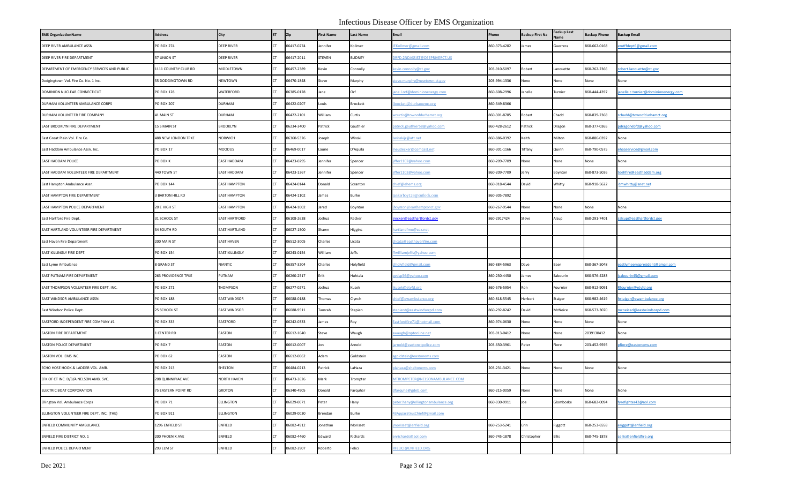| <b>EMS OrganizationName</b>                 | <b>Address</b>        | City                  | <b>ST</b> | Zip        | <b>First Name</b> | <b>Last Name</b> | <b>Email</b>                     | Phone        | <b>Backup First Na</b> | Backup Last | <b>Backup Phone</b> | <b>Backup Email</b>                 |
|---------------------------------------------|-----------------------|-----------------------|-----------|------------|-------------------|------------------|----------------------------------|--------------|------------------------|-------------|---------------------|-------------------------------------|
| DEEP RIVER AMBULANCE ASSN.                  | PO BOX 274            | <b>DEEP RIVER</b>     | CT.       | 06417-0274 | lennifer          | Kollmer          | EKollmer@gmail.com               | 860-373-4282 | James                  | Guerrera    | 860-662-0168        | htffdept6@gmail.com                 |
| DEEP RIVER FIRE DEPARTMENT                  | 57 UNION ST           | <b>DEEP RIVER</b>     | CT.       | 06417-2011 | STEVEN            | BUDNEY           | DRFD.2NDASSIST@DEEPRIVERCT.US    |              |                        |             |                     |                                     |
| DEPARTMENT OF EMERGENCY SERVICES AND PUBLIC | 1111 COUNTRY CLUB RD  | MIDDLETOWN            | <b>CT</b> | 06457-2389 | Kevin             | Connolly         | cevin.connolly@ct.gov            | 203-910-5097 | Robert                 | anouette    | 860-262-2366        | obert.lanouette@ct.gov              |
| Dodgingtown Vol. Fire Co. No. 1 Inc.        | 55 DODGINGTOWN RD     | NEWTOWN               |           | 06470-1848 | Steve             | Murphy           | .teve.murphy@newtown-ct.gov      | 203-994-1336 | None                   | None        | None                | None                                |
| DOMINION NUCLEAR CONNECTICUT                | PO BOX 128            | WATERFORD             | <b>CT</b> | 06385-0128 | Jane              | Orf              | ine.l.orf@dominionenergy.com     | 860-608-2996 | Janelle                | Turnier     | 860-444-4397        | anelle.c.turnier@dominionenergy.com |
| DURHAM VOLUNTEER AMBULANCE CORPS            | <b>PO BOX 207</b>     | <b>DURHAM</b>         | <b>CT</b> | 06422-0207 | Louis             | Brockett         | brockett@durhamems.org           | 860-349-8366 |                        |             |                     |                                     |
| DURHAM VOLUNTEER FIRE COMPANY               | 41 MAIN ST            | <b>DURHAM</b>         | <b>CT</b> | 06422-2101 | William           | Curtis           | wcurtis@townofdurhamct.org       | 860-301-8785 | Robert                 | Chadd       | 360-839-2368        | rchadd@townofdurhamct.org           |
| EAST BROOKLYN FIRE DEPARTMENT               | 15 S MAIN ST          | <b>BROOKLYN</b>       | <b>CT</b> | 06234-3400 | Patrick           | Gauthier         | patrick.gauthier58@yahoo.com     | 860-428-2612 | Patrick                | Dragon      | 860-377-0365        | odragonebfd@yahoo.com               |
| East Great Plain Vol. Fire Co.              | 488 NEW LONDON TPKE   | <b>NORWICH</b>        |           | 06360-5326 | Joseph            | Winski           | winskijr@att.net                 | 860-886-0392 | Keith                  | Milton      | 360-886-0392        | None                                |
| East Haddam Ambulance Assn. Inc.            | PO BOX 17             | MOODUS                | <b>CT</b> | 06469-0017 | Laurie            | D'Aquila         | eudecker@comcast.net             | 860-301-1166 | Tiffany                | Quinn       | 860-790-0575        | haaservice@gmail.com                |
| EAST HADDAM POLICE                          | PO BOX K              | <b>EAST HADDAM</b>    |           | 06423-0295 | lennifer          | Spencer          | ffer1102@yahoo.com               | 860-209-7709 | None                   | None        | Vone                | None                                |
| EAST HADDAM VOLUNTEER FIRE DEPARTMENT       | 440 TOWN ST           | <b>EAST HADDAM</b>    | CT.       | 06423-1367 | lennifer          | Spencer          | ffer1102@yahoo.com               | 860-209-7709 | Jerry                  | Boynton     | 860-873-5036        | toehfire@easthaddam.org             |
| East Hampton Ambulance Assn.                | PO BOX 144            | <b>EAST HAMPTON</b>   | CT.       | 06424-0144 | Donald            | Scranton         | hief@ehems.org                   | 860-918-4544 | David                  | Whitty      | 860-918-5622        | mwhitty@snet.net                    |
| EAST HAMPTON FIRE DEPARTMENT                | <b>BARTON HILL RD</b> | <b>EAST HAMPTON</b>   |           | 06424-1102 | James             | Burke            | ankerboy128@outlook.com          | 860-305-7892 |                        |             |                     |                                     |
| EAST HAMPTON POLICE DEPARTMENT              | 20 E HIGH ST          | <b>EAST HAMPTON</b>   | CT.       | 06424-1002 | Jared             | Boynton          | ooynton@easthamptonct.gov        | 860-267-9544 | None                   | None        | None                | None                                |
| East Hartford Fire Dept.                    | 31 SCHOOL ST          | <b>EAST HARTFORD</b>  |           | 06108-2638 | Joshua            | Recker           | recker@easthartfordct.gov        | 860-2917424  | Steve                  | Alsup       | 860-291-7401        | alsup@easthartfordct.gov            |
| EAST HARTLAND VOLUNTEER FIRE DEPARTMENT     | 34 SOUTH RD           | <b>EAST HARTLAND</b>  | CT.       | 06027-1500 | Shawn             | Higgins          | nartlandfmo@cox.net              |              |                        |             |                     |                                     |
| East Haven Fire Department                  | 200 MAIN ST           | <b>EAST HAVEN</b>     | CT.       | 06512-3005 | Charles           | Licata           | licata@easthavenfire.com         |              |                        |             |                     |                                     |
| EAST KILLINGLY FIRE DEPT.                   | PO BOX 154            | <b>EAST KILLINGLY</b> |           | 06243-0154 | William           | Jeffs            | fwilliamjeffs@yahoo.com          |              |                        |             |                     |                                     |
| East Lyme Ambulance                         | <b>GRAND ST</b>       | <b>NIANTIC</b>        | CT.       | 06357-3204 | Charles           | Holyfield        | Iholyfield@gmail.com             | 860-884-5963 | Dave                   | Baer        | 860-367-5048        | eastlymeemspresident@gmail.com      |
| EAST PUTNAM FIRE DEPARTMENT                 | 263 PROVIDENCE TPKE   | PUTNAM                | CT.       | 06260-2517 | Erik              | Huhtala          | avdsp56@yahoo.com                | 860-230-4450 | lames                  | Sabourin    | 860-576-4283        | sabourin45@gmail.com                |
| EAST THOMPSON VOLUNTEER FIRE DEPT. INC.     | PO BOX 271            | THOMPSON              | <b>CT</b> | 06277-0271 | Joshua            | Kusek            | kusek@etvfd.org                  | 860-576-5954 | Ron                    | ournier     | 860-912-9091        | Rfournier@etvfd.org                 |
| EAST WINDSOR AMBULANCE ASSN.                | PO BOX 188            | <b>EAST WINDSOR</b>   | CT.       | 06088-0188 | Thomas            | Clynch           | hief@ewambulance.org             | 860-818-5545 | Herbert                | Staiger     | 860-982-4619        | staiger@ewambulance.org             |
| East Windsor Police Dept.                   | 25 SCHOOL ST          | <b>EAST WINDSOR</b>   |           | 06088-9511 | Tamrah            | Stepien          | stepient@eastwindsorpd.com       | 860-292-8242 | David                  | McNeice     | 860-573-3070        | ncneiced@eastwindsorpd.com          |
| EASTFORD INDEPENDENT FIRE COMPANY #1        | PO BOX 333            | EASTFORD              | CT.       | 06242-0333 | lames             | Roy              | astfordfire71@hotmail.com        | 860-974-0630 | None                   | None        | None                | None                                |
| EASTON FIRE DEPARTMENT                      | 1 CENTER RD           | EASTON                | CT.       | 06612-1640 | Steve             | Waugh            | waugh@optonline.net              | 203-913-0412 | None                   | None        | 2039130412          | None                                |
| EASTON POLICE DEPARTMENT                    | PO BOX 7              | EASTON                | CT.       | 06612-0007 | Jon               | Arnold           | arnold@eastonctpolice.com        | 203-650-3961 | Peter                  | iore        | 203-452-9595        | pfiore@eastonems.com                |
| EASTON VOL. EMS INC.                        | PO BOX 62             | EASTON                | <b>CT</b> | 06612-0062 | Adam              | Goldstein        | agoldstein@eastonems.com         |              |                        |             |                     |                                     |
| ECHO HOSE HOOK & LADDER VOL. AMB.           | PO BOX 213            | SHELTON               |           | 06484-0213 | Patrick           | LaHaza           | lahaza@sheltonems.com            | 203-231-3421 | None                   | None        | None                | None                                |
| EFK OF CT INC. D/B/A NELSON AMB. SVC.       | 208 QUINNIPIAC AVE    | <b>NORTH HAVEN</b>    | <b>CT</b> | 06473-3626 | Mark              | <b>Frompter</b>  | ATROMPETER@NELSONAMBULANCE.COM   |              |                        |             |                     |                                     |
| ELECTRIC BOAT CORPORATION                   | 75 EASTERN POINT RD   | GROTON                | CT.       | 06340-4905 | Donald            | Farquhar         | dfarquha@gdeb.com                | 860-215-0059 | None                   | None        | None                | None                                |
| Ellington Vol. Ambulance Corps              | <b>PO BOX 71</b>      | ELLINGTON             | CT.       | 06029-0071 | Peter             | Hany             | eter.hany@ellingtonambulance.org | 860-930-9911 | Joe                    | Glomboske   | 860-682-0094        | fyrefighter42@aol.com               |
| ELLINGTON VOLUNTEER FIRE DEPT. INC. (THE)   | PO BOX 911            | <b>ELLINGTON</b>      | CT.       | 06029-0030 | Brendan           | Burke            | 13ApparatrusChief@gmail.com      |              |                        |             |                     |                                     |
| ENFIELD COMMUNITY AMBULANCE                 | 1296 ENFIELD ST       | ENFIELD               |           | 06082-4912 | Jonathan          | Morisset         | morisset@enfield.org             | 860-253-5241 | Erin                   | Riggott     | 860-253-6558        | eriggott@enfield.org                |
| ENFIELD FIRE DISTRICT NO. 1                 | 200 PHOENIX AVE       | ENFIELD               | <b>CT</b> | 06082-4460 | Edward            | Richards         | nrichards@aol.com                | 860-745-1878 | Christopher            | Ellis       | 860-745-1878        | ellis@enfieldfire.org               |
| ENFIELD POLICE DEPARTMENT                   | 293 ELM ST            | ENFIELD               | CT.       | 06082-3907 | Roberto           | Felici           | FELICI@ENFIELD.ORG               |              |                        |             |                     |                                     |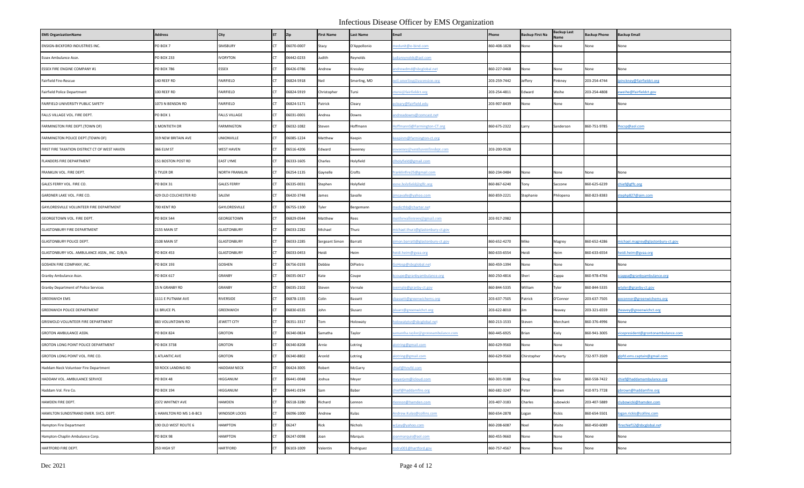| <b>EMS OrganizationName</b>                   | <b>Address</b>                 | City                  | <b>ST</b> | Zip        | <b>First Name</b> | <b>Last Name</b> | Email                              | Phone        | <b>Backup First Na</b> | <b>Backup Last</b> | <b>Backup Phone</b> | <b>Backup Email</b>               |
|-----------------------------------------------|--------------------------------|-----------------------|-----------|------------|-------------------|------------------|------------------------------------|--------------|------------------------|--------------------|---------------------|-----------------------------------|
| ENSIGN-BICKFORD INDUSTRIES INC.               | PO BOX 7                       | SIMSBURY              |           | 06070-0007 | Stacy             | D'Appollonio     | edunit@e-bind.com                  | 860-408-1828 | None                   | None               | None                | None                              |
| Essex Ambulance Assn.                         | PO BOX 233                     | <b>IVORYTON</b>       |           | 06442-0233 | Judith            | Reynolds         | diareynolds@aol.com                |              |                        |                    |                     |                                   |
| ESSEX FIRE ENGINE COMPANY #1                  | PO BOX 786                     | <b>ESSEX</b>          |           | 06426-0786 | Andrew            | Kressley         | ndrewdmd@sbcglobal.net             | 860-227-0468 | None                   | None               | None                | None                              |
| Fairfield Fire-Rescue                         | 140 REEF RD                    | FAIRFIELD             |           | 06824-5918 | Neil              | Smerling, MD     | eil.smerling@ascension.org         | 203-259-7442 | Jeffery                | Pinkney            | 203-254-4744        | pinckney@fairfieldct.org          |
| Fairfield Police Department                   | 100 REEF RD                    | FAIRFIELD             |           | 06824-5919 | Christopher       | Tursi            | ursi@fairfieldct.org               | 203-254-4811 | Edward                 | Neihe              | 203-254-4808        | weihe@fairfieldct.gov             |
| FAIRFIELD UNIVERSITY PUBLIC SAFETY            | 1073 N BENSON RD               | FAIRFIELD             |           | 06824-5171 | Patrick           | Cleary           | cleary@fairfield.edu               | 203-907-8439 | None                   | None               | None                | None                              |
| FALLS VILLAGE VOL. FIRE DEPT.                 | PO BOX 1                       | <b>FALLS VILLAGE</b>  |           | 06031-0001 | Andrea            | Downs            | ndreadowns@comcast.net             |              |                        |                    |                     |                                   |
| FARMINGTON FIRE DEPT.(TOWN OF)                | I MONTIETH DR                  | <b>FARMINGTON</b>     |           | 06032-1082 | Steven            | Hoffmann         | offmannS@Farmington-CT.org         | 860-675-2322 | Larry                  | Sanderson          | 860-751-9785        | nscsp@aol.com                     |
| FARMINGTON POLICE DEPT.(TOWN OF)              | 319 NEW BRITAIN AVE            | UNIONVILLE            |           | 06085-1224 | Matthew           | Keepin           | eepinm@farmington-ct.org           |              |                        |                    |                     |                                   |
| FIRST FIRE TAXATION DISTRICT CT OF WEST HAVEN | 366 ELM ST                     | <b>WEST HAVEN</b>     |           | 06516-4206 | Edward            | Sweeney          | weeney@westhavenfiredept.com       | 203-200-9528 |                        |                    |                     |                                   |
| FLANDERS FIRE DEPARTMENT                      | 151 BOSTON POST RD             | <b>EAST LYME</b>      |           | 06333-1605 | Charles           | Holyfield        | Iholyfield@gmail.com               |              |                        |                    |                     |                                   |
| FRANKLIN VOL. FIRE DEPT.                      | 5 TYLER DR                     | <b>NORTH FRANKLIN</b> |           | 06254-1135 | Gaynelle          | Crofts           | anklinfire25@gmail.com             | 860-234-0484 | None                   | None               | None                | None                              |
| GALES FERRY VOL. FIRE CO.                     | PO BOX 31                      | <b>GALES FERRY</b>    |           | 06335-0031 | Stephen           | Holyfield        | eve.holyfield@gffc.org             | 860-867-6240 | Tony                   | Saccone            | 860-625-6239        | hief@gffc.org                     |
| GARDNER LAKE VOL. FIRE CO.                    | 429 OLD COLCHESTER RD          | SALEM                 |           | 06420-3748 | James             | Savalle          | nsavalle@yahoo.com                 | 860-859-2221 | Stephanie              | hilopena           | 860-823-8383        | tephp827@aim.com                  |
| GAYLORDSVILLE VOLUNTEER FIRE DEPARTMENT       | 700 KENT RD                    | GAYLORDSVILLE         |           | 06755-1100 | Tyler             | Bergemann        | nedicthb@charter.net               |              |                        |                    |                     |                                   |
| GEORGETOWN VOL. FIRE DEPT.                    | PO BOX 544                     | GEORGETOWN            |           | 06829-0544 | Matthew           | Rees             | natthewallenrees@gmail.com         | 203-917-2982 |                        |                    |                     |                                   |
| <b>GLASTONBURY FIRE DEPARTMENT</b>            | 2155 MAIN ST                   | <b>GLASTONBURY</b>    |           | 06033-2282 | Michael           | Thurz            | ichael.thurz@glastonbury-ct.gov    |              |                        |                    |                     |                                   |
| <b>GLASTONBURY POLICE DEPT.</b>               | 2108 MAIN ST                   | <b>GLASTONBURY</b>    |           | 06033-2285 | Sergeant Simon    | Barratt          | mon.barratt@glastonbury-ct.gov     | 860-652-4270 | Mike                   | Magrey             | 860-652-4286        | nichael.magrey@glastonbury-ct.gov |
| GLASTONBURY VOL. AMBULANCE ASSN., INC. D/B/A  | PO BOX 453                     | <b>GLASTONBURY</b>    |           | 06033-0453 | Heidi             | Heim             | idi.heim@gvaa.org                  | 860-633-6554 | Heidi                  | Heim               | 860-633-6554        | eidi.heim@gvaa.org                |
| GOSHEN FIRE COMPANY, INC.                     | PO BOX 193                     | GOSHEN                |           | 06756-0193 | Debbie            | DiPietro         | oHosp@sbcglobal.net                | 860-459-1394 | None                   | None               | None                | None                              |
| Granby Ambulance Assn.                        | PO BOX 617                     | <b>GRANBY</b>         |           | 06035-0617 | Kate              | Coupe            | coupe@granbyambulance.org          | 860-250-4816 | Sheri                  | Cappa              | 860-978-4766        | cappa@granbyambulance.org         |
| Granby Department of Police Services          | 15 N GRANBY RD                 | <b>GRANBY</b>         |           | 06035-2102 | Steven            | Vernale          | vernale@granby-ct.gov              | 860-844-5335 | William                | Tyler              | 860-844-5335        | vtyler@granby-ct.gov              |
| <b>GREENWICH EMS</b>                          | 1111 E PUTNAM AVE              | RIVERSIDE             |           | 06878-1335 | Colin             | Bassett          | bassett@greenwichems.org           | 203-637-7505 | Patrick                | O'Connor           | 203-637-7505        | oconnor@greenwichems.org          |
| GREENWICH POLICE DEPARTMENT                   | <b>11 BRUCE PL</b>             | GREENWICH             |           | 06830-6535 | John              | Slusarz          | luarz@greenwichct.org              | 203-622-8010 | lim                    | Heavey             | 203-321-6559        | heavey@greenwichct.org            |
| GRISWOLD VOLUNTEER FIRE DEPARTMENT            | 883 VOLUNTOWN RD               | JEWETT CITY           |           | 06351-3317 | Tom               | Holowaty         | <u>olowatytsr@sbcglobal.net</u>    | 860-213-1533 | Steven                 | Merchant           | 860-376-4996        | None                              |
| GROTON AMBULANCE ASSN.                        | PO BOX 824                     | <b>GROTON</b>         |           | 06340-0824 | Samatha           | Taylor           | amantha.taylor@grotonambulance.com | 860-445-6925 | Brian                  | Kiely              | 860-941-3005        | icepresident@grontonambulance.com |
| GROTON LONG POINT POLICE DEPARTMENT           | PO BOX 3738                    | <b>GROTON</b>         |           | 06340-8208 | Arnie             | Lotring          | lotring@gmail.com                  | 860-629-9560 | None                   | None               | None                | None                              |
| GROTON LONG POINT VOL. FIRE CO.               | 1 ATLANTIC AVE                 | <b>GROTON</b>         |           | 06340-8802 | Aronld            | Lotring          | lotring@gmail.com                  | 860-629-9560 | Chirstopher            | Faherty            | 732-977-3509        | Ipfd.ems.captain@gmail.com        |
| Haddam Neck Volunteer Fire Department         | 50 ROCK LANDING RD             | <b>HADDAM NECK</b>    |           | 06424-3005 | Robert            | McGarry          | nief@hnvfd.com                     |              |                        |                    |                     |                                   |
| HADDAM VOL. AMBULANCE SERVICE                 | PO BOX 48                      | HIGGANUM              |           | 06441-0048 | Joshua            | Meyer            | neyerjvm@icloud.com                | 860-301-9188 | Doug                   | Dole               | 860-558-7422        | hief@haddamambulance.org          |
| Haddam Vol. Fire Co.                          | PO BOX 194                     | HIGGANUM              | <b>CT</b> | 06441-0194 | Sam               | Baber            | nief@haddamfire.org                | 860-682-3247 | Peter                  | Brown              | 410-971-7728        | pbrown@haddamfire.org             |
| HAMDEN FIRE DEPT.                             | 2372 WHITNEY AVE               | HAMDEN                |           | 06518-3280 | Richard           | Lennon           | ennon@hamden.com                   | 203-407-3183 | Charles                | ubowicki           | 203-407-5889        | lubowicki@hamden.com              |
| HAMILTON SUNDSTRAND EMER. SVCS. DEPT.         | <b>LHAMILTON RD MS 1-B-BC3</b> | <b>WINDSOR LOCKS</b>  |           | 06096-1000 | Andrew            | Kulas            | Andrew.Kulas@collins.com           | 860-654-2878 | ogan                   | Rickis             | 860-654-5501        | ogan.rickis@collins.com           |
| <b>Hampton Fire Department</b>                | 190 OLD WEST ROUTE 6           | <b>HAMPTON</b>        |           | 06247      | Rick              | Nichols          | v1jey@yahoo.com                    | 860-208-6087 | Noel                   | Waite              | 860-450-6089        | irechief12@sbcglobal.net          |
| Hampton-Chaplin Ambulance Corp.               | PO BOX 98                      | <b>HAMPTON</b>        |           | 06247-0098 | Joan              | Marquis          | vanmarquis@aol.com                 | 860-455-9660 | None                   | None               | None                | None                              |
| HARTFORD FIRE DEPT.                           | 253 HIGH ST                    | <b>HARTFORD</b>       |           | 06103-1009 | Valentin          | Rodriguez        | odrv001@hartford.gov               | 860-757-4567 | None                   | None               | None                | None                              |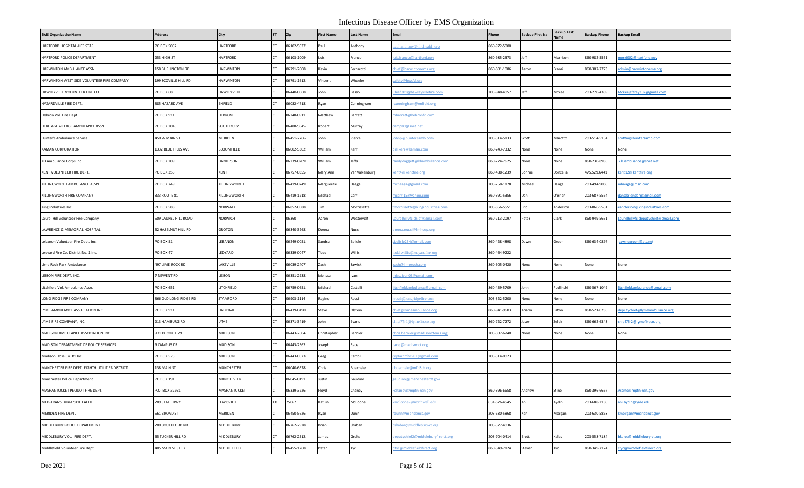| <b>EMS OrganizationName</b>                     | <b>Address</b>        | City             | <b>ST</b> | Zip        | <b>First Name</b> | <b>Last Name</b> | <b>Email</b>                       | Phone        | <b>Backup First Na</b> | Backup Last<br>lame | <b>Backup Phone</b> | <b>Backup Email</b>                |
|-------------------------------------------------|-----------------------|------------------|-----------|------------|-------------------|------------------|------------------------------------|--------------|------------------------|---------------------|---------------------|------------------------------------|
| HARTFORD HOSPITAL-LIFE STAR                     | PO BOX 5037           | <b>HARTFORD</b>  | CT.       | 06102-5037 | Paul              | Anthony          | aul.anthony@hhchealth.org          | 860-972-5000 |                        |                     |                     |                                    |
| HARTFORD POLICE DEPARTMENT                      | 253 HIGH ST           | <b>HARTFORD</b>  | CT.       | 06103-1009 | Luis              | Franco           | uis.franco@hartford.gov            | 860-985-2373 | Jeff                   | Morrison            | 860-982-5551        | norrj002@hartford.gov              |
| HARWINTON AMBULANCE ASSN.                       | 158 BURLINGTON RD     | <b>HARWINTON</b> | <b>CT</b> | 06791-2008 | Kevin             | Ferrarotti       | hief@harwintonems.org              | 860-601-1086 | Aaron                  | Franzi              | 860-307-7773        | dmin@harwintonems.org              |
| HARWINTON WEST SIDE VOLUNTEER FIRE COMPANY      | 199 SCOVILLE HILL RD  | <b>HARWINTON</b> |           | 06791-1612 | Vincent           | Wheeler          | afety@hwsfd.org                    |              |                        |                     |                     |                                    |
| HAWLEYVILLE VOLUNTEER FIRE CO.                  | PO BOX 68             | HAWLEYVILLE      | <b>CT</b> | 06440-0068 | John              | Basso            | hief301@hawleyvillefire.com        | 203-948-4057 | Jeff                   | Mckee               | 203-270-4389        | Mckeejeffrey102@gmail.com          |
| HAZARDVILLE FIRE DEPT.                          | 385 HAZARD AVE        | <b>ENFIELD</b>   | <b>CT</b> | 06082-4718 | Ryan              | Cunningham       | cunningham@enfield.org             |              |                        |                     |                     |                                    |
| Hebron Vol. Fire Dept.                          | PO BOX 911            | <b>HEBRON</b>    | <b>CT</b> | 06248-0911 | Matthew           | Barrett          | nbarrett@hebronfd.com              |              |                        |                     |                     |                                    |
| HERITAGE VILLAGE AMBULANCE ASSN.                | PO BOX 2045           | SOUTHBURY        | <b>CT</b> | 06488-5045 | Robert            | Murray           | camp80@snet.net                    |              |                        |                     |                     |                                    |
| Hunter's Ambulance Service                      | 450 W MAIN ST         | <b>MERIDEN</b>   |           | 06451-2766 | John              | Pierce           | ohnp@huntersamb.com                | 203-514-5133 | Scott                  | Marotto             | 203-514-5134        | cottm@huntersamb.com               |
| KAMAN CORPORATION                               | 1332 BLUE HILLS AVE   | BLOOMFIELD       | <b>CT</b> | 06002-5302 | William           | Kerr             | II.kerr@kaman.com                  | 860-243-7332 | None                   | None                | None                | None                               |
| KB Ambulance Corps Inc.                         | <b>PO BOX 209</b>     | DANIELSON        | <b>CT</b> | 06239-0209 | William           | Jeffs            | andydaggett@kbambulance.com        | 860-774-7625 | None                   | None                | 360-230-8985        | k.b.ambuance@snet.net              |
| KENT VOLUNTEER FIRE DEPT.                       | PO BOX 355            | <b>KENT</b>      | <b>CT</b> | 06757-0355 | Mary Ann          | VanValkenburg    | cent4@kentfire.org                 | 860-488-1239 | <b>Bonnie</b>          | <b>Donzella</b>     | 475.529.6441        | cent12@kentfire.org                |
| KILLINGWORTH AMBULANCE ASSN.                    | PO BOX 749            | KILLINGWORTH     | <b>CT</b> | 06419-0749 | Marguerite        | Haaga            | nxhaaga@gmail.com                  | 203-258-1178 | Michael                | Haaga               | 203-494-9060        | haaga@msn.com                      |
| KILLINGWORTH FIRE COMPANY                       | 333 ROUTE 81          | KILLINGWORTH     |           | 06419-1218 | Michael           | Carri            | ncarri15@yahoo.com                 | 860-391-5356 | Dan                    | O'Brien             | 203-687-5564        | danobriendan@gmail.com             |
| King Industries Inc.                            | PO BOX 588            | NORWALK          | CT.       | 06852-0588 | <b>Tim</b>        | Morrissette      | morrissette@kingindustries.com     | 203-866-5551 | Eric                   | Anderson            | 203-866-5551        | anderson@kingindustries.com        |
| Laurel Hill Volunteer Fire Company              | 509 LAUREL HILL ROAD  | NORWICH          | CT.       | 06360      | Aaron             | Westervelt       | .aurelhillvfc.chief@gmail.com      | 860-213-2097 | Peter                  | Clark               | 860-949-5651        | aurelhillvfc.deputychief@gmail.com |
| LAWRENCE & MEMORIAL HOSPITAL                    | 52 HAZELNUT HILL RD   | GROTON           |           | 06340-3268 | Donna             | Nucci            | donna.nucci@Imhosp.org             |              |                        |                     |                     |                                    |
| Lebanon Volunteer Fire Dept. Inc.               | <b>PO BOX 51</b>      | LEBANON          | <b>CT</b> | 06249-0051 | Sandra            | Belisle          | belisle254@gmail.com               | 860-428-4898 | Dawn                   | Green               | 860-634-0897        | awndgreen@att.net                  |
| Ledyard Fire Co. District No. 1 Inc.            | <b>PO BOX 47</b>      | LEDYARD          |           | 06339-0047 | Todd              | Willis           | odd.willis@ledyardfire.org         | 860-464-9222 |                        |                     |                     |                                    |
| Lime Rock Park Ambulance                        | 497 LIME ROCK RD      | LAKEVILLE        | CT.       | 06039-2407 | Zach              | Sawicki          | ach@limerock.com                   | 860-605-0420 | None                   | None                | None                | None                               |
| LISBON FIRE DEPT. INC.                          | <b>NEWENT RD</b>      | LISBON           | CT.       | 06351-2938 | Melissa           | Ivan             | <u>nissaivan03@gmail.com</u>       |              |                        |                     |                     |                                    |
| Litchfield Vol. Ambulance Assn.                 | PO BOX 651            | LITCHFIELD       | <b>CT</b> | 06759-0651 | Michael           | Castelli         | tchfieldambulance@gmail.com        | 860-459-5709 | John                   | Pudlinski           | 860-567-1049        | litchfieldambulance@gmail.com      |
| LONG RIDGE FIRE COMPANY                         | 366 OLD LONG RIDGE RD | STAMFORD         | CT.       | 06903-1114 | Regine            | Rossi            | <u>rossi@longridgefire.com</u>     | 203-322-5200 | None                   | None                | None                | None                               |
| LYME AMBULANCE ASSOCIATION INC                  | PO BOX 911            | HADLYME          |           | 06439-0490 | Steve             | Olstein          | hief@lymeambulance.org             | 860-941-9603 | Ariana                 | Eaton               | 860-521-0285        | deputychief@lymeambulance.org      |
| LYME FIRE COMPANY, INC.                         | 213 HAMBURG RD        | LYME             | CT.       | 06371-3419 | John              | Evans            | hief75-1@lymefireco.org            | 860-722-7272 | Jason                  | Zelek               | 860-662-6343        | hief75-2@lymefireco.org            |
| MADISON AMBULANCE ASSOCIATION INC               | 9 OLD ROUTE 79        | <b>MADISON</b>   | CT.       | 06443-2604 | Christopher       | Bernier          | hris.bernier@madisonctems.org      | 203-507-6740 | None                   | None                | None                | None                               |
| MADISON DEPARTMENT OF POLICE SERVICES           | 9 CAMPUS DR           | <b>MADISON</b>   | <b>CT</b> | 06443-2562 | Joseph            | Race             | acej@madisonct.org                 |              |                        |                     |                     |                                    |
| Madison Hose Co. #1 Inc.                        | <b>PO BOX 573</b>     | MADISON          | <b>CT</b> | 06443-0573 | Greg              | Carroll          | aptainmhc201@gmail.com             | 203-314-0023 |                        |                     |                     |                                    |
| MANCHESTER FIRE DEPT. EIGHTH UTILITIES DISTRICT | 138 MAIN ST           | MANCHESTER       |           | 06040-6528 | Chris             | Buechele         | buechele@mfd8th.org                |              |                        |                     |                     |                                    |
| Manchester Police Department                    | PO BOX 191            | MANCHESTER       | CT.       | 06045-0191 | lustin            | Gaudino          | audinoj@manchesterct.gov           |              |                        |                     |                     |                                    |
| MASHANTUCKET PEQUOT FIRE DEPT.                  | .O. BOX 32261         | MASHANTUCKET     | CT.       | 06339-3226 | Floyd             | Chaney           | chaney@mptn-nsn.gov                | 860-396-6658 | Andrew                 | Stino               | 860-396-6667        | Astino@mptn-nsn.gov                |
| MED-TRANS D/B/A SKYHEALTH                       | 209 STATE HWY         | LEWISVILLE       | TX.       | 75067      | Katilin           | McLoone          | mcloone2@northwell.edu             | 631-676-4545 | Ani                    | Aydin               | 203-688-2180        | ani.aydin@yale.edu                 |
| MERIDEN FIRE DEPT.                              | 561 BROAD ST          | MERIDEN          | <b>CT</b> | 06450-5626 | Ryan              | Dunn             | dunn@meridenct.gov                 | 203-630-5868 | Ken                    | Morgan              | 203-630-5868        | morgan@meridenct.gov               |
| MIDDLEBURY POLICE DEPARTMENT                    | 200 SOUTHFORD RD      | MIDDLEBURY       |           | 06762-2928 | Brian             | Shaban           | shaban@middlebury-ct.org           | 203-577-4036 |                        |                     |                     |                                    |
| MIDDLEBURY VOL. FIRE DEPT.                      | 65 TUCKER HILL RD     | MIDDLEBURY       | <b>CT</b> | 06762-2512 | lames             | Grohs            | leputychief2@middleburyfire-ct.org | 203-704-0414 | Brett                  | Kales               | 203-558-7184        | bkales@middlebury-ct.org           |
| Middlefield Volunteer Fire Dept.                | 405 MAIN ST STE 7     | MIDDLEFIELD      | CT.       | 06455-1268 | Peter             | Tyc              | btyc@middlefieldfirect.org         | 860-349-7124 | Steven                 | Гус                 | 860-349-7124        | styc@middlefieldfirect.org         |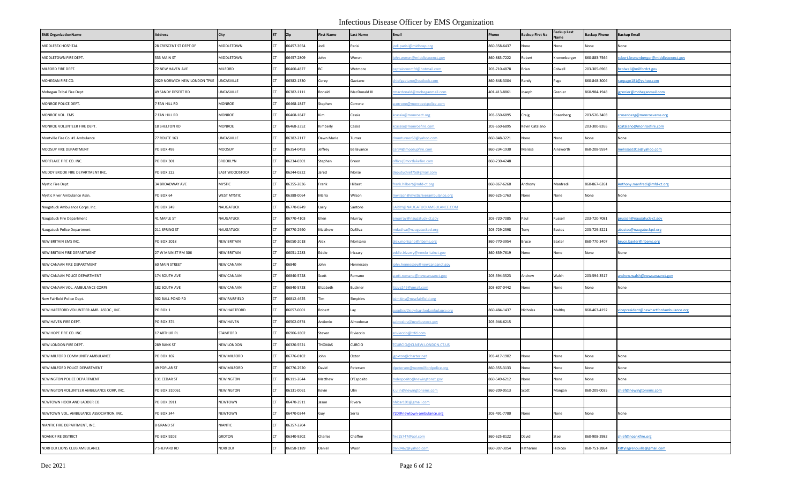| <b>EMS OrganizationName</b>              | <b>Address</b>               | City                  | <b>ST</b> | Zip        | <b>First Name</b> | <b>Last Name</b> | Email                                | Phone        | <b>Backup First Na</b> | <b>Backup Last</b><br>lame | <b>Backup Phone</b> | <b>Backup Email</b>                                               |
|------------------------------------------|------------------------------|-----------------------|-----------|------------|-------------------|------------------|--------------------------------------|--------------|------------------------|----------------------------|---------------------|-------------------------------------------------------------------|
| MIDDLESEX HOSPITAL                       | 28 CRESCENT ST DEPT OF       | MIDDLETOWN            |           | 06457-3654 | Jodi              | Parisi           | odi.parisi@midhosp.org               | 860-358-6437 | None                   | lone                       | None                | None                                                              |
| MIDDLETOWN FIRE DEPT.                    | 533 MAIN ST                  | MIDDLETOWN            |           | 06457-2809 | John              | Woron            | ohn.woron@middletownct.gov           | 860-883-7222 | obert                  | <i>conenberger</i>         | 860-883-7564        | obert.kronenberger@middletownct.gov                               |
| MILFORD FIRE DEPT.                       | 72 NEW HAVEN AVE             | MILFORD               |           | 06460-4827 | <b>BC</b>         | Wetmore          | aptainronmfd@hotmail.com             | 203-710-4878 | Brian                  | Colwell                    | 203-305-6965        | colwell@milfordct.gov                                             |
| MOHEGAN FIRE CO.                         | 2029 NORWICH NEW LONDON TPKE | UNCASVILLE            |           | 06382-1330 | Corey             | Gaetano          | hiefgaetano@outlook.com              | 860-848-3004 | Randy                  | Page                       | 860-848-3004        | anpage181@yahoo.com                                               |
| Mohegan Tribal Fire Dept                 | 49 SANDY DESERT RD           | UNCASVILLE            |           | 06382-1111 | Ronald            | MacDonald III    | nacdonald@moheganmail.com            | 401-413-8861 | Joseph                 | Grenier                    | 860-984-1948        | <u>grenier@moheganmail.com</u>                                    |
| MONROE POLICE DEPT.                      | <b>FAN HILL RD</b>           | MONROE                |           | 06468-1847 | Stephen           | Corrone          | <u>corrone@monroectpolice.com</u>    |              |                        |                            |                     |                                                                   |
| MONROE VOL. EMS                          | 7 FAN HILL RD                | MONROE                |           | 06468-1847 | Kim               | Cassia           | cassia@monroect.org                  | 203-650-6895 | Craig                  | tosenberg                  | 203-520-3403        | rosenberg@monroevems.org                                          |
| MONROE VOLUNTEER FIRE DEPT.              | 18 SHELTON RD                | MONROE                |           | 06468-2352 | Kimberly          | Cassia           | cassia@monroefire.com                | 203-650-6895 | Kevin Catalano         |                            | 203-300-8265        | catalano@monroefire.com                                           |
| Montville Fire Co. #1 Ambulance          | 77 ROUTE 163                 | UNCASVILLE            |           | 06382-2117 | Dawn Marie        | Turner           | mmturner68@yahoo.com                 | 860-848-3221 | None                   | None                       | None                | None                                                              |
| MOOSUP FIRE DEPARTMENT                   | PO BOX 493                   | MOOSUP                |           | 06354-0493 | Jeffrey           | Bellavance       | er94@moosupfire.com                  | 860-234-1930 | Melissa                | Ainsworth                  | 860-208-9594        | elissaa1016@yahoo.com                                             |
| MORTLAKE FIRE CO. INC.                   | PO BOX 301                   | <b>BROOKLYN</b>       |           | 06234-0301 | Stephen           | Breen            | ffice@mortlakefire.com               | 860-230-4248 |                        |                            |                     |                                                                   |
| MUDDY BROOK FIRE DEPARTMENT INC.         | PO BOX 222                   | <b>EAST WOODSTOCK</b> |           | 06244-0222 | Jared             | Morse            | leputychief75@gmail.com              |              |                        |                            |                     |                                                                   |
| Mystic Fire Dept.                        | 34 BROADWAY AVE              | <b>MYSTIC</b>         |           | 06355-2836 | Frank             | Hilbert          | rank.hilbert@mfd-ct.org              | 860-867-6260 | Anthony                | Manfredi                   | 860-867-6261        | Inthony.manfredi@mfd-ct.org                                       |
| Mystic River Ambulance Assn.             | PO BOX 64                    | <b>WEST MYSTIC</b>    |           | 06388-0064 | Maria             | Wilson           | wilson@mysticriverambulance.org      | 860-625-1763 | None                   | None                       | None                | None                                                              |
| Naugatuck Ambulance Corps. Inc.          | PO BOX 249                   | NAUGATUCK             |           | 06770-0249 | Larry             | Santoro          | ARRY@NAUGATUCKAMBULANCE.COM          |              |                        |                            |                     |                                                                   |
| Naugatuck Fire Department                | 41 MAPLE ST                  | NAUGATUCK             |           | 06770-4103 | Ellen             | Murray           | <u>emurray@naugatuck-ct.gov</u>      | 203-720-7085 | Paul                   | llsssel                    | 203-720-7081        | <u>russell@naugatuck-ct.gov</u>                                   |
| Naugatuck Police Department              | 211 SPRING ST                | NAUGATUCK             |           | 06770-2990 | Matthew           | DaSilva          | ndasilva@naugatuckpd.org             | 203-729-2598 | Tony                   | Bastos                     | 203-729-5221        | bastos@naugatuckpd.org                                            |
| NEW BRITAIN EMS INC.                     | PO BOX 2018                  | <b>NEW BRITAIN</b>    |           | 06050-2018 | Alex              | Morisano         | lex.morisano@nbems.org               | 860-770-3954 | Bruce                  | Baxter                     | 860-770-3407        | ruce.baxter@nbems.org                                             |
| NEW BRITAIN FIRE DEPARTMENT              | 27 W MAIN ST RM 306          | <b>NEW BRITAIN</b>    |           | 06051-2283 | Eddie             | Irizzary         | ddie.irizarry@newbritainct.gov       | 860-839-7619 | None                   | None                       | None                | None                                                              |
| NEW CANAAN FIRE DEPARTMENT               | 60 MAIN STREET               | <b>NEW CANAAN</b>     |           | 06840      | John              | Hennessey        | hn.hennessey@newcanaanct.gov         |              |                        |                            |                     |                                                                   |
| NEW CANAAN POLICE DEPARTMENT             | 174 SOUTH AVE                | <b>NEW CANAAN</b>     |           | 06840-5728 | Scott             | Romano           | cott.romano@newcanaanct.gov          | 203-594-3523 | Andrew                 | Valsh                      | 203-594-3517        | andrew.walsh@newcanaanct.gov                                      |
| NEW CANAAN VOL. AMBULANCE CORPS          | 182 SOUTH AVE                | <b>NEW CANAAN</b>     |           | 06840-5728 | Elizabeth         | Buckner          | zzyg249@gmail.com                    | 203-807-0442 | None                   | lone                       | None                | None                                                              |
| New Fairfield Police Dept.               | 302 BALL POND RD             | NEW FAIRFIELD         |           | 06812-4625 | Tim               | Simpkins         | simkins@newfairfield.org             |              |                        |                            |                     |                                                                   |
| NEW HARTFORD VOLUNTEER AMB. ASSOC., INC. | PO BOX 1                     | <b>NEW HARTFORD</b>   |           | 06057-0001 | Robert            | Lay              | applies@newhartfordambulance.org     | 860-484-1437 | Nicholas               | Maltby                     | 860-463-4192        | vicepresident@newhartfordambulance.org                            |
| NEW HAVEN FIRE DEPT.                     | PO BOX 374                   | <b>NEW HAVEN</b>      |           | 06502-0374 | Antionio          | Almodovar        | dmodov@newhavenct.gov                | 203-946-6215 |                        |                            |                     |                                                                   |
| NEW HOPE FIRE CO. INC.                   | 17 ARTHUR PL                 | STAMFORD              |           | 06906-1802 | Steven            | Rivieccio        | srivieccio@trfd.com                  |              |                        |                            |                     |                                                                   |
| NEW LONDON FIRE DEPT.                    | 289 BANK ST                  | <b>NEW LONDON</b>     |           | 06320-5521 | THOMAS            | CURCIO           | CURCIO@CI.NEW-LONDON.CT.US           |              |                        |                            |                     |                                                                   |
| NEW MILFORD COMMUNITY AMBULANCE          | PO BOX 102                   | <b>NEW MILFORD</b>    |           | 06776-0102 | John              | Oxton            | oxton@charter.net                    | 203-417-1902 | None                   | None                       | None                | None                                                              |
| NEW MILFORD POLICE DEPARTMENT            | 49 POPLAR ST                 | <b>NEW MILFORD</b>    |           | 06776-2920 | David             | Petersen         | <u>petersen@newmilfordpolice.org</u> | 860-355-3133 | None                   | None                       | None                | None                                                              |
| NEWINGTON POLICE DEPARTMENT              | 131 CEDAR ST                 | NEWINGTON             |           | 06111-2644 | Matthew           | D'Esposito       | ndesposito@newingtonct.gov           | 860-549-6212 | None                   | Vone                       | None                | None                                                              |
| NEWINGTON VOLUNTEER AMBULANCE CORP, INC. | PO BOX 310061                | NEWINGTON             | CT.       | 06131-0061 | Kevin             | Ulin             | ulin@newingtonems.com                | 860-209-0513 | Scott                  | Mangan                     | 860-209-0035        | chief@newingtonems.com                                            |
| NEWTOWN HOOK AND LADDER CO.              | PO BOX 3911                  | NEWTOWN               |           | 06470-3911 | Jason             | Rivera           | hlcar101@gmail.com                   |              |                        |                            |                     |                                                                   |
| NEWTOWN VOL. AMBULANCE ASSOCIATION, INC. | PO BOX 344                   | <b>NEWTOWN</b>        |           | 06470-0344 | Guy               | Serra            | 720@newtown-ambulance.org            | 203-491-7780 | None                   | None                       | None                | None                                                              |
| NIANTIC FIRE DEPARTMENT, INC.            | 8 GRAND ST                   | NIANTIC               |           | 06357-3204 |                   |                  |                                      |              |                        |                            |                     |                                                                   |
| NOANK FIRE DISTRICT                      | PO BOX 9202                  | <b>GROTON</b>         |           | 06340-9202 | Charles           | Chaffee          | re15747@aol.com                      | 860-625-8122 | David                  | steel                      | 860-908-2982        | hief@noankfire.org                                                |
| NORFOLK LIONS CLUB AMBULANCE             | SHEPARD RD                   | NORFOLK               |           | 06058-1189 | Daniel            | Wuori            | an0462@yahoo.com                     | 860-307-3054 | Katharine              | Hickcox                    | 860-751-2864        | <ittylagrenouille@gmail.com< td=""></ittylagrenouille@gmail.com<> |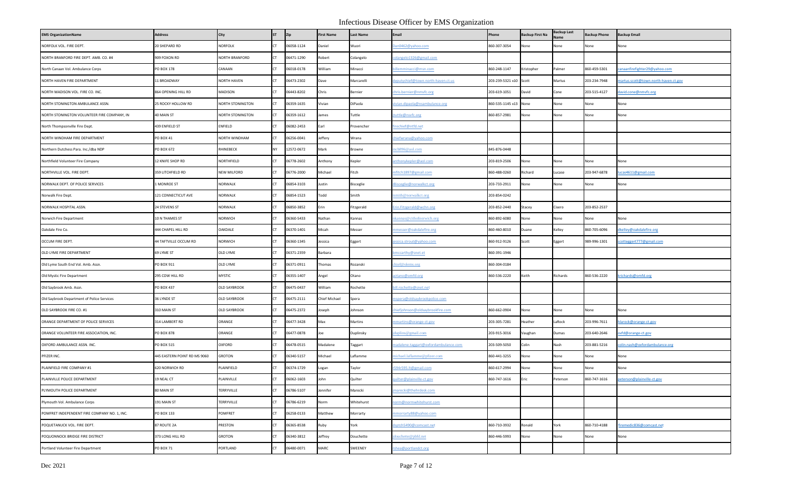| <b>EMS OrganizationName</b>                  | <b>Address</b>               | City                  | <b>ST</b> | Zip        | <b>First Name</b> | <b>Last Name</b> | Email                                | Phone                  | <b>Backup First Na</b> | <b>Backup Last</b> | <b>Backup Phone</b> | <b>Backup Email</b>                  |
|----------------------------------------------|------------------------------|-----------------------|-----------|------------|-------------------|------------------|--------------------------------------|------------------------|------------------------|--------------------|---------------------|--------------------------------------|
| NORFOLK VOL. FIRE DEPT.                      | 20 SHEPARD RD                | <b>NORFOLK</b>        |           | 06058-1124 | Daniel            | Wuori            | an0462@yahoo.com                     | 860-307-3054           | None                   | None               | None                | None                                 |
| NORTH BRANFORD FIRE DEPT. AMB. CO. #4        | 909 FOXON RD                 | <b>NORTH BRANFORD</b> |           | 06471-1290 | Robert            | Colangelo        | plangelo1326@gmail.com               |                        |                        |                    |                     |                                      |
| North Canaan Vol. Ambulance Corps            | PO BOX 178                   | CANAAN                |           | 06018-0178 | William           | Minacci          | llemminacci@msn.com                  | 860-248-1147           | Kristopher             | Palmer             | 860-459-5301        | canaanfirefighter29@yahoo.com        |
| NORTH HAVEN FIRE DEPARTMENT                  | 11 BROADWAY                  | <b>NORTH HAVEN</b>    |           | 06473-2302 | Dave              | Marcarelli       | eputychief@town.north-haven.ct.us    | 203-239-5321 x10 Scott |                        | Martus             | 203-234-7948        | martus.scott@town.north-haven.ct.gov |
| NORTH MADISON VOL. FIRE CO. INC.             | 864 OPENING HILL RD          | MADISON               |           | 06443-8202 | Chris             | Bernier          | hris.bernier@nmvfc.org               | 203-619-1051           | David                  | Cone               | 203-515-4127        | avid.cone@nmvfc.org                  |
| NORTH STONINGTON AMBULANCE ASSN.             | 25 ROCKY HOLLOW RD           | NORTH STONINGTON      |           | 06359-1635 | Vivian            | DiPaola          | ivian.dipaola@nsambulance.org        | 860-535-1145 x13       | None                   | None               | None                | None                                 |
| NORTH STONINGTON VOLUNTEER FIRE COMPANY, IN  | 40 MAIN ST                   | NORTH STONINGTON      |           | 06359-1612 | James             | Tuttle           | tuttle@nsvfc.org                     | 860-857-2981           | None                   | None               | None                | None                                 |
| North Thompsonville Fire Dept.               | 439 ENFIELD ST               | ENFIELD               |           | 06082-2453 | Earl              | Provencher       | rechief@ntfd.net                     |                        |                        |                    |                     |                                      |
| NORTH WINDHAM FIRE DEPARTMENT                | PO BOX 41                    | NORTH WINDHAM         |           | 06256-0041 | Jeffery           | Wrana            | hiefwrana@yahoo.com                  |                        |                        |                    |                     |                                      |
| Northern Dutchess Para. Inc./dba NDP         | PO BOX 672                   | RHINEBECK             | NY        | 12572-0672 | Mark              | Browne           | cb896@aol.com                        | 845-876-0448           |                        |                    |                     |                                      |
| Northfield Volunteer Fire Company            | 12 KNIFE SHOP RD             | NORTHFIELD            |           | 06778-2602 | Anthony           | Kepler           | nthonykepler@aol.com                 | 203-819-2506           | None                   | None               | None                | None                                 |
| NORTHVILLE VOL. FIRE DEPT.                   | 359 LITCHFIELD RD            | <b>NEW MILFORD</b>    |           | 06776-2000 | Michael           | Fitch            | nfitch1897@gmail.com                 | 860-488-0260           | Richard                | ucase              | 203-947-6878        | ucas4611@gmail.com                   |
| NORWALK DEPT. OF POLICE SERVICES             | MONROE ST                    | <b>NORWALK</b>        |           | 06854-3103 | Justin            | <b>Bisceglie</b> | Bisceglie@norwalkct.org              | 203-733-2911           | None                   | None               | None                | None                                 |
| Norwalk Fire Dept.                           | 121 CONNECTICUT AVE          | NORWALK               |           | 06854-1523 | Todd              | Smith            | mith@norwalkct.org                   | 203-854-0242           |                        |                    |                     |                                      |
| NORWALK HOSPITAL ASSN.                       | 24 STEVENS ST                | NORWALK               |           | 06850-3852 | Erin              | Fitzgerald       | rin.Fitzgerald@wchn.org              | 203-852-2440           | Stacey                 | Cisero             | 203-852-2537        |                                      |
| Norwich Fire Department                      | 10 N THAMES ST               | NORWICH               |           | 06360-5433 | Nathan            | Kannas           | kannas@cithofnorwich.org             | 860-892-6080           | None                   | None               | None                | None                                 |
| Oakdale Fire Co.                             | 444 CHAPEL HILL RD           | OAKDALE               |           | 06370-1401 | Micah             | Messer           | nmesser@oakdalefire.org              | 860-460-8010           | Duane                  | Kelley             | 860-705-6096        | dkelley@oakdalefire.org              |
| OCCUM FIRE DEPT.                             | 44 TAFTVILLE OCCUM RD        | <b>NORWICH</b>        |           | 06360-1345 | Jessica           | Eggert           | essica.strout@yahoo.com              | 860-912-9126           | Scott                  | Eggert             | 989-996-1301        | cotteggert777@gmail.com              |
| OLD LYME FIRE DEPARTMENT                     | 69 LYME ST                   | OLD LYME              |           | 06371-2359 | Barbara           |                  | mccarthy@snet.et                     | 860-391-1946           |                        |                    |                     |                                      |
| Old Lyme South End Vol. Amb. Assn.           | PO BOX 911                   | OLD LYME              |           | 06371-0911 | Thomas            | Rozanski         | nief@olems.org                       | 860-304-0184           |                        |                    |                     |                                      |
| Old Mystic Fire Department                   | 295 COW HILL RD              | <b>MYSTIC</b>         |           | 06355-1407 | Angel             | Otano            | otano@omfd.org                       | 860-536-2220           | Keith                  | Richards           | 860-536-2220        | krichards@omfd.org                   |
| Old Saybrook Amb. Assn.                      | PO BOX 437                   | <b>OLD SAYBROOK</b>   |           | 06475-0437 | William           | Rochette         | ill.rochette@snet.net                |                        |                        |                    |                     |                                      |
| Old Saybrook Department of Police Services   | 36 LYNDE ST                  | <b>OLD SAYBROOK</b>   |           | 06475-2111 | Chief Michael     | Spera            | spera@oldsaybrookpolice.com          |                        |                        |                    |                     |                                      |
| OLD SAYBROOK FIRE CO. #1                     | 310 MAIN ST                  | <b>OLD SAYBROOK</b>   |           | 06475-2372 | Joseph            | Johnson          | niefjohnson@oldsaybrookfire.com      | 860-662-0904           | None                   | None               | None                | None                                 |
| ORANGE DEPARTMENT OF POLICE SERVICES         | 314 LAMBERT RD               | ORANGE                |           | 06477-3428 | Max               | Martins          | nmartins@orange-ct.gov               | 203-305-7281           | Heather                | LaRock             | 203-996-7611        | <u>larock@orange-ct.gov</u>          |
| ORANGE VOLUNTEER FIRE ASSOCIATION, INC.      | PO BOX 878                   | ORANGE                |           | 06477-0878 | Joe               | Duplinsky        | luplins@gmail.com                    | 203-915-3016           | <b>Jaughan</b>         | Dumas              | 203-640-2646        | ovfd@orange-ct.gov                   |
| OXFORD AMBULANCE ASSN. INC.                  | PO BOX 515                   | OXFORD                |           | 06478-0515 | Madalene          | Taggart          | nadalene.taggart@oxfordambulance.com | 203-509-5050           | Colin                  | Nash               | 203-881-5216        | olin.nash@oxfordambulance.org        |
| PFIZER INC.                                  | 445 EASTERN POINT RD MS 9060 | <b>GROTON</b>         |           | 06340-5157 | Michael           | Laflamme         | ichael.laflamme@pfizer.com           | 860-441-3255           | None                   | None               | None                | None                                 |
| PLAINFIELD FIRE COMPANY #1                   | 620 NORWICH RD               | PLAINFIELD            |           | 06374-1729 | Logan             | Taylor           | 594r595.It@gmail.com                 | 860-617-2994           | None                   | None               | None                | None                                 |
| PLAINVILLE POLICE DEPARTMENT                 | 19 NEAL CT                   | PLAINVILLE            |           | 06062-1603 | John              | Quilter          | uilter@plainville-ct.gov             | 860-747-1616           | Eric                   | Peterson           | 860-747-1616        | eterson@plainville-ct.gov            |
| PLYMOUTH POLICE DEPARTMENT                   | 80 MAIN ST                   | TERRYVILLE            | <b>CT</b> | 06786-5107 | Jennifer          | Marecki          | narecki@thehrdesk.com                |                        |                        |                    |                     |                                      |
| Plymouth Vol. Ambulance Corps                | 191 MAIN ST                  | TERRYVILLE            |           | 06786-6219 | Norm              | Whitehurst       | orm@normwhitehurst.com               |                        |                        |                    |                     |                                      |
| POMFRET INDEPENDENT FIRE COMPANY NO. 1. INC. | PO BOX 133                   | <b>POMFRET</b>        |           | 06258-0133 | Matthew           | Morrarty         | nmorrarty88@yahoo.com                |                        |                        |                    |                     |                                      |
| POQUETANUCK VOL. FIRE DEPT.                  | 87 ROUTE 2A                  | PRESTON               |           | 06365-8538 | Ruby              | York             | sptch5490@comcast.net                | 860-710-3932           | Ronald                 | York               | 860-710-4188        | iremedic836@comcast.net              |
| POQUONNOCK BRIDGE FIRE DISTRICT              | 373 LONG HILL RD             | <b>GROTON</b>         |           | 06340-3812 | Jeffrey           | Douchette        | ouchette@pbfd.net                    | 860-446-5993           | None                   | Vone               | None                | None                                 |
| Portland Volunteer Fire Department           | PO BOX 71                    | PORTLAND              |           | 06480-0071 | MARC              | SWEENEY          | shea@portlandct.org                  |                        |                        |                    |                     |                                      |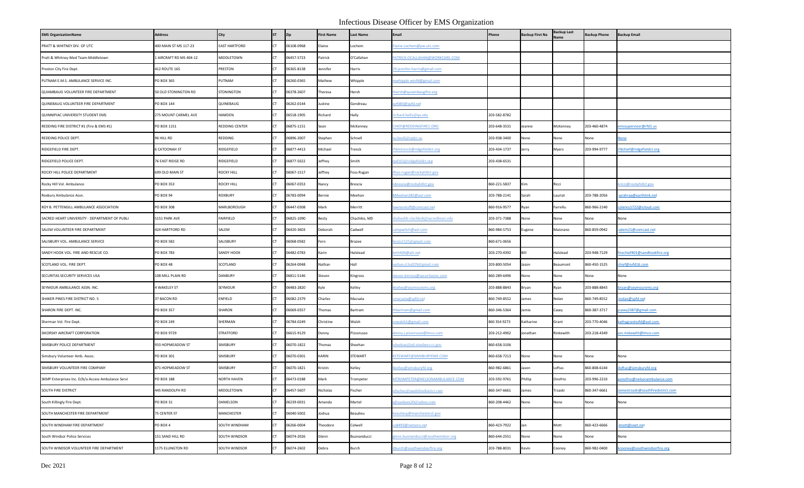| <b>EMS OrganizationName</b>                        | <b>Address</b>        | City                 | <b>ST</b> | Zip        | <b>First Name</b> | <b>Last Name</b>       | Email                            | Phone        | <b>Backup First Na</b> | Backup Last<br>lame | <b>Backup Phone</b> | <b>Backup Email</b>               |
|----------------------------------------------------|-----------------------|----------------------|-----------|------------|-------------------|------------------------|----------------------------------|--------------|------------------------|---------------------|---------------------|-----------------------------------|
| PRATT & WHITNEY DIV. OF UTC                        | 400 MAIN ST MS 117-23 | <b>EAST HARTFORD</b> |           | 06108-0968 | Elaine            | ochem                  | aine.Lochem@pw.utc.com           |              |                        |                     |                     |                                   |
| Pratt & Whitney-Med Team-Middletown                | AIRCRAFT RD MS 404-12 | MIDDLETOWN           |           | 06457-5723 | Patrick           | O'Callahan             | ATRICK.OCALLAHAN@WORKCARE.COM    |              |                        |                     |                     |                                   |
| Preston City Fire Dept.                            | 412 ROUTE 165         | PRESTON              |           | 06365-8138 | Jennifer          | Harris                 | 9. jennifer.harris@gmail.com     |              |                        |                     |                     |                                   |
| PUTNAM E.M.S. AMBULANCE SERVICE INC.               | PO BOX 365            | PUTNAM               |           | 06260-0365 | Mathew            | Whipple                | whipple.wtvfd@gmail.com          |              |                        |                     |                     |                                   |
| QUIAMBAUG VOLUNTEER FIRE DEPARTMENT                | 50 OLD STONINGTON RD  | <b>STONINGTON</b>    |           | 06378-2607 | Theresa           | Hersh                  | nersh@quiambaugfire.org          |              |                        |                     |                     |                                   |
| QUINEBAUG VOLUNTEER FIRE DEPARTMENT                | PO BOX 144            | QUINEBAUG            |           | 06262-0144 | Justine           | Gendreau               | vfd83@qvfd.net                   |              |                        |                     |                     |                                   |
| QUINNIPIAC UNIVERSITY STUDENT EMS                  | 275 MOUNT CARMEL AVE  | HAMDEN               |           | 06518-1905 | Richard           | Hally                  | chard.hally@qu.edu               | 203-582-8782 |                        |                     |                     |                                   |
| REDDING FIRE DISTRICT #1 (Fire & EMS #1)           | PO BOX 1151           | REDDING CENTER       |           | 06875-1151 | Sean              | McKenney               | HIEF@REDDINGFIRE1.ORG            | 203-648-3531 | Jeanne                 | McKenney            | 203-460-4874        | mssuperviosr@rfd1.us              |
| REDDING POLICE DEPT                                | 96 HILL RD            | REDDING              |           | 06896-2007 | Stephen           | Schnell                | chnell@rpdct.us                  | 203-938-3400 | None                   | None                | None                | one                               |
| RIDGEFIELD FIRE DEPT.                              | <b>CATOONAH ST</b>    | RIDGEFIELD           |           | 06877-4413 | Michael           | <b>Frenck</b>          | dmtrenck@ridgefieldct.org        | 203-434-1737 | Jerry                  | Myers               | 203-994-9777        | fdchief@ridgefieldct.org          |
| RIDGEFIELD POLICE DEPT.                            | 76 EAST RIDGE RD      | RIDGEFIELD           |           | 06877-5022 | Jeffrey           | Smith                  | pd163@ridgefieldct.org           | 203-438-6531 |                        |                     |                     |                                   |
| ROCKY HILL POLICE DEPARTMENT                       | 699 OLD MAIN ST       | <b>ROCKY HILL</b>    |           | 06067-1517 | Jeffrey           | Foss-Rugan             | oss-rugan@rockyhillct.gov        |              |                        |                     |                     |                                   |
| Rocky Hill Vol. Ambulance                          | PO BOX 353            | <b>ROCKY HILL</b>    |           | 06067-0353 | Nancy             | Brescia                | brescia@rockyhillct.gov          | 860-221-5837 | Kim                    | Ricci               |                     | ricci@rockyhillct.gov             |
| Roxbury Ambulance Assn                             | PO BOX 94             | ROXBURY              |           | 06783-0094 | Bernie            | Meehan                 | Meehan282@aol.com                | 203-788-2141 | Sarah                  | .auriat             | 203-788-2056        | arahraa@earthlink.net             |
| ROY B. PETTENGILL AMBULANCE ASSOCIATION            | PO BOX 308            | MARLBOROUGH          |           | 06447-0308 | Mark              | Merritt                | wnsnstuff@comcast.net            | 860-916-9577 | Ryan                   | Farrellu            | 860-966-2140        | plenry1722@icloud.com             |
| SACRED HEART UNIVERSITY - DEPARTMENT OF PUBLI      | 5151 PARK AVE         | FAIRFIELD            |           | 06825-1090 | Besty             | Chachiko, MD           | uhealth-clachkob@sacredheart.edu | 203-371-7388 | None                   | None                | None                | None                              |
| SALEM VOLUNTEER FIRE DEPARTMENT                    | 424 HARTFORD RD       | SALEM                |           | 06420-3603 | Deborah           | Cadwell                | ampwitch@aol.com                 | 860-984-5753 | Eugene                 | Maiorano            | 860-859-0942        | alem21@comcast.net                |
| SALISBURY VOL. AMBULANCE SERVICE                   | PO BOX 582            | SALISBURY            |           | 06068-0582 | Fern              | Brazee                 | $rns1525$ @gmail.com             | 860-671-0656 |                        |                     |                     |                                   |
| SANDY HOOK VOL. FIRE AND RESCUE CO.                | PO BOX 783            | SANDY HOOK           |           | 06482-0783 | Karin             | Halstead               | nh426@att.net                    | 203-270-4392 | Bill                   | Halstead            | 203-948-7129        | rechief401@sandhookfire.org       |
| SCOTLAND VOL. FIRE DEPT.                           | PO BOX 48             | SCOTLAND             |           | 06264-0048 | Nathan            | Hall                   | ithan.d.hall29@gmail.com         | 203-800-5054 | lason                  | Beaumont            | 860-450-1525        | hief@svfd16.com                   |
| SECURITAS SECURITY SERVICES USA                    | 108 MILL PLAIN RD     | <b>DANBURY</b>       |           | 06811-5146 | Steven            | Kingross               | teven.kinross@securitasinc.com   | 860-289-6496 | None                   | None                | None                | None                              |
| SEYMOUR AMBULANCE ASSN. INC.                       | 4 WAKELEY ST          | SEYMOUR              |           | 06483-2820 | Kyle              | Kelley                 | <u>celley@seymourems.org</u>     | 203-888-8843 | Bryan                  | Ryan                | 203-888-8843        | ryan@seymourems.org               |
| SHAKER PINES FIRE DISTRICT NO. 5                   | 37 BACON RD           | ENFIELD              |           | 06082-2379 | Charles           | Macsata                | macsata@spfd.net                 | 860-749-8552 | lames                  | Nolan               | 860-749-8552        | nolan@spfd.net                    |
| SHARON FIRE DEPT. INC.                             | PO BOX 357            | SHARON               |           | 06069-0357 | Thomas            | Bartram                | hbartram@gmail.com               | 860-346-5364 | lamie                  | Casey               | 860-387-3717        | asey2387@gmail.com                |
| Sherman Vol. Fire Dept.                            | PO BOX 249            | SHERMAN              |           | 06784-0249 | Christine         | Walsh                  | nwalsh1@gmail.com                | 860 354 9273 | Katharine              | Grant               | 203-770-4046        | athygrantsvfd@aol.com             |
| SIKORSKY AIRCRAFT CORPORATION                      | PO BOX 9729           | STRATFORD            |           | 06615-9129 | Donny             | <sup>2</sup> izzorusso | onny.j.pizzorusso@Imco.com       | 203-212-4902 | onathan                | Rinkewith           | 203-218-4349        | on.rinkewith@Imco.com             |
| SIMSBURY POLICE DEPARTMENT                         | 933 HOPMEADOW ST      | SIMSBURY             |           | 06070-1822 | Thomas            | Sheehan                | heehan@pd.simsbury-ct.gov        | 860-658-3106 |                        |                     |                     |                                   |
| Simsbury Volunteer Amb. Assoc.                     | PO BOX 301            | SIMSBURY             |           | 06070-0301 | KARIN             | STEWART                | STEWART@SIMSBURYEMS.COM          | 860-658-7213 | None                   | None                | None                | None                              |
| SIMSBURY VOLUNTEER FIRE COMPANY                    | 871 HOPMEADOW ST      | SIMSBURY             |           | 06070-1821 | (ristin           | Kelley                 | kelley@simsburyfd.org            | 860-982-6861 | lason                  | .oftus              | 860-808-6144        | oftus@simsburyfd.org              |
| SKMP Enterprises Inc. D/b/a Access Ambulance Servi | <b>PO BOX 188</b>     | <b>NORTH HAVEN</b>   |           | 06473-0188 | Mark              | <b>Trompeter</b>       | ITROMPETER@NELSONAMBULANCE.COM   | 203-592-9761 | hillip                 | <b>Onofrio</b>      | 203-996-2210        | onofrio@nelsonambulance.com       |
| SOUTH FIRE DISTRICT                                | 445 RANDOLPH RD       | MIDDLETOWN           | <b>CT</b> | 06457-5607 | Nicholas          | Fischer                | fischer@southfiredistrict.com    | 860-347-6661 | James                  | Trzaski             | 860-347-6661        | amestrzaski@southfiredistrict.com |
| South Killingly Fire Dept.                         | PO BOX 31             | DANIELSON            |           | 06239-0031 | Amanda            | Martel                 | hyankees20@yahoo.com             | 860-208-4462 | None                   | None                | None                | None                              |
| SOUTH MANCHESTER FIRE DEPARTMENT                   | 75 CENTER ST          | MANCHESTER           |           | 06040-5002 | Joshua            | Beaulieu               | eaulieuj@manchesterct.gov        |              |                        |                     |                     |                                   |
| SOUTH WINDHAM FIRE DEPARTMENT                      | PO BOX 4              | SOUTH WINDHAM        |           | 06266-0004 | Theodore          | Colwell                | 08493@netzero.net                | 860-423-7922 | lan                    | Mott                | 860-423-6666        | mott@snet.net                     |
| South Windsor Police Services                      | 151 SAND HILL RD      | SOUTH WINDSOR        | CT.       | 06074-2026 | Glenn             | Buonanducci            | enn.buonanducci@southwindsor.org | 860-644-2551 | None                   | None                | None                | None                              |
| SOUTH WINDSOR VOLUNTEER FIRE DEPARTMENT            | 1175 ELLINGTON RD     | SOUTH WINDSOR        | CT        | 06074-2602 | Debra             | Burch                  | burch@southwindsorfire.org       | 203-788-8031 | Kevin                  | Cooney              | 860-982-0400        | cooney@southwindsorfire.org       |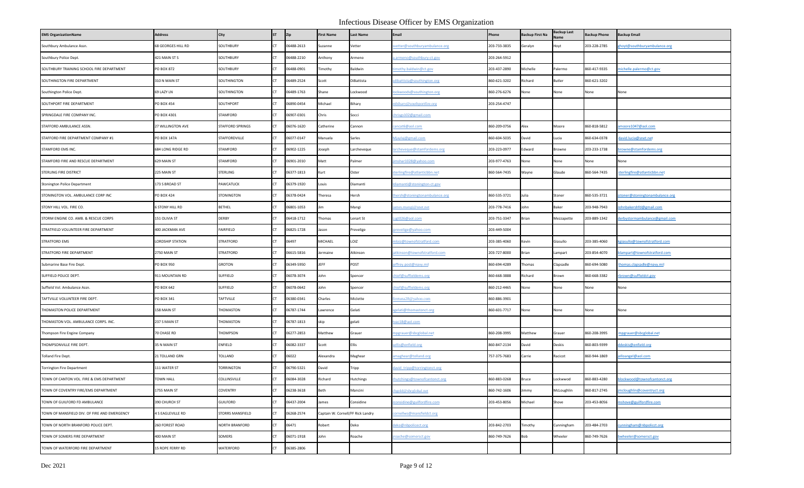| <b>EMS OrganizationName</b>                  | <b>Address</b>         | City                    | <b>ST</b> | Zip        | <b>First Name</b>                 | <b>Last Name</b> | <b>Email</b>                  | Phone        | Backup First Na | Backup Last | <b>Backup Phone</b> | <b>Backup Email</b>           |
|----------------------------------------------|------------------------|-------------------------|-----------|------------|-----------------------------------|------------------|-------------------------------|--------------|-----------------|-------------|---------------------|-------------------------------|
| Southbury Ambulance Assn.                    | 68 GEORGES HILL RD     | SOUTHBURY               | CT.       | 06488-2613 | Suzanne                           | /etter           | etter@southburyambulance.org  | 203-733-3835 | Geralyn         | Hoyt        | 203-228-2785        | noyt@southburyambulance.org   |
| Southbury Police Dept.                       | 421 MAIN ST S          | SOUTHBURY               | CT.       | 06488-2210 | Anthony                           | Armeno           | .armeno@southbury-ct.gov      | 203-264-5912 |                 |             |                     |                               |
| SOUTHBURY TRAINING SCHOOL FIRE DEPARTMENT    | <b>PO BOX 872</b>      | SOUTHBURY               | CT.       | 06488-0901 | imothy                            | Baldwin          | imothy.baldwin@ct.gov         | 203-437-2890 | Michelle        | Palermo     | 860-417-9335        | michelle.palermo@ct.gov       |
| SOUTHINGTON FIRE DEPARTMENT                  | 310 N MAIN ST          | SOUTHINGTON             | CT.       | 06489-2524 | Scott                             | DiBattista       | dibattista@southington.org    | 860-621-3202 | Richard         | Butler      | 360-621-3202        |                               |
| Southington Police Dept.                     | 69 LAZY LN             | SOUTHINGTON             | CT.       | 06489-1763 | Shane                             | .ockwood         | ockwoods@southington.org      | 860-276-6276 | None            | None        | None                | None                          |
| SOUTHPORT FIRE DEPARTMENT                    | PO BOX 454             | SOUTHPORT               | <b>CT</b> | 06890-0454 | Michael                           | Bihary           | nbihary@southportfire.org     | 203-254-4747 |                 |             |                     |                               |
| SPRINGDALE FIRE COMPANY INC.                 | PO BOX 4301            | STAMFORD                | <b>CT</b> | 06907-0301 | Chris                             | Socci            | hrisgs102@gmail.com           |              |                 |             |                     |                               |
| STAFFORD AMBULANCE ASSN.                     | 27 WILLINGTON AVE      | <b>STAFFORD SPRINGS</b> | <b>CT</b> | 06076-1620 | Catherine                         | Cannon           | cancat6@aol.com               | 860-209-0756 | Alex            | Moore       | 860-818-5812        | moore1047@aol.com             |
| STAFFORD FIRE DEPARTMENT COMPANY #1          | PO BOX 147A            | STAFFORDVILLE           |           | 06077-0147 | Manuela                           | Sarles           | Ajaylaj@gmail.com             | 860-604-5035 | David           | Lucia       | 360-634-0378        | lavid.lucia@snet.net          |
| STAMFORD EMS INC.                            | 684 LONG RIDGE RD      | STAMFORD                | <b>CT</b> | 06902-1225 | loseph                            | .archeveque      | rcheveque@stamfordems.org     | 203-223-0977 | Edward          | 3rowne      | 203-233-1738        | owne@stamfordems.org          |
| STAMFORD FIRE AND RESCUE DEPARTMENT          | 629 MAIN ST            | STAMFORD                | CT.       | 06901-2010 | Matt                              | almer            | mshar1028@yahoo.com           | 203-977-4763 | None            | None        | Vone                | None                          |
| STERLING FIRE DISTRICT                       | 225 MAIN ST            | STERLING                | CT.       | 06377-1813 | Kurt                              | Oster            | terlingfire@atlanticbbn.net   | 860-564-7435 | Wayne           | Glaude      | 860-564-7435        | terlingfire@atlanticbbn.net   |
| Stonington Police Department                 | 173 S BROAD ST         | PAWCATUCK               | <b>CT</b> | 06379-1920 | Louis                             | Diamanti         | diamanti@stonington-ct.gov    |              |                 |             |                     |                               |
| STONINGTON VOL. AMBULANCE CORP INC           | PO BOX 424             | STONINGTON              |           | 06378-0424 | Theresa                           | Hersh            | hersh@stoningtonambulance.org | 860-535-3721 | Julia           | Stoner      | 360-535-3721        | toner@stoningtonambulance.org |
| STONY HILL VOL. FIRE CO.                     | <b>6 STONY HILL RD</b> | <b>BETHEL</b>           |           | 06801-1053 | lim                               | Mangi            | <u>imes.mangi@snet.net</u>    | 203-778-7416 | John            | Baker       | 203-948-7943        | ohnbakershfd@gmail.com        |
| STORM ENGINE CO. AMB. & RESCUE CORPS         | 151 OLIVIA ST          | <b>DERBY</b>            | <b>CT</b> | 06418-1712 | homas                             | enart St         | sgt026@aol.com                | 203-751-3347 | Brian           | Vezzapette  | 203-889-1342        | derbystormambulance@gmail.com |
| STRATFIELD VOLUNTEER FIRE DEPARTMENT         | 400 JACKMAN AVE        | FAIRFIELD               | CT.       | 06825-1728 | Jason                             | Prevelige        | prevelige@yahoo.com           | 203-449-5004 |                 |             |                     |                               |
| <b>STRATFORD EMS</b>                         | LORDSHIP STATION       | <b>STRATFORD</b>        | <b>CT</b> | 06497      | MICHAEL                           | LOIZ             | nloiz@townofstratford.com     | 203-385-4060 | Kevin           | Giasullo    | 203-385-4060        | cgiasullo@townofstratford.com |
| STRATFORD FIRE DEPARTMENT                    | 2750 MAIN ST           | STRATFORD               |           | 06615-5816 | Jermaine                          | Atkinson         | tkinson@townofstratford.com   | 203-727-8000 | Brian           | Lampart     | 203-854-4070        | ampart@townofstratford.com    |
| Submarine Base Fire Dept.                    | PO BOX 950             | <b>GROTON</b>           | <b>CT</b> | 06349-5950 | JEFF                              | POST             | effrey.post@navy.mil          | 860-694-4289 | Thomas          | Clapsadle   | 860-694-5080        | nomas.clapsadle@navy.mil      |
| SUFFIELD POLICE DEPT.                        | 911 MOUNTAIN RD        | SUFFIELD                |           | 06078-3074 | John                              | Spencer          | hief@suffieldems.org          | 860-668-3888 | Richard         | rown        | 360-668-3382        | brown@suffieldct.gov          |
| Suffield Vol. Ambulance Assn.                | PO BOX 642             | SUFFIELD                | CT.       | 06078-0642 | John                              | Spencer          | hief@suffieldems.org          | 860-212-4465 | None            | None        | None                | None                          |
| TAFTVILLE VOLUNTEER FIRE DEPT.               | PO BOX 341             | TAFTVILLE               | <b>CT</b> | 06380-0341 | Charles                           | Miclette         | retuna28@yahoo.com            | 860-886-3901 |                 |             |                     |                               |
| THOMASTON POLICE DEPARTMENT                  | 158 MAIN ST            | <b>HOMASTON</b>         |           | 06787-1744 | Lawrence                          | Gelati           | sgelati@thomastonct.org       | 860-601-7717 | None            | None        | None                | None                          |
| THOMASTON VOL. AMBULANCE CORPS. INC.         | 237 S MAIN ST          | <b>HOMASTON</b>         | <b>CT</b> | 06787-1813 | skip                              | gelati           | vac18@aol.com                 |              |                 |             |                     |                               |
| Thompson Fire Engine Company                 | 70 CHASE RD            | <b>THOMPSON</b>         |           | 06277-2853 | Matthew                           | Grauer           | npgrauer@sbcglobal.net        | 860-208-3995 | Matthew         | Grauer      | 360-208-3995        | npgrauer@sbcglobal.net        |
| THOMPSONVILLE FIRE DEPT.                     | 35 N MAIN ST           | ENFIELD                 |           | 06082-3337 | Scott                             | Ellis            | ellis@enfield.org             | 860-847-2134 | David           | Deskis      | 860-803-9399        | deskis@enfield.org            |
| <b>Tolland Fire Dept.</b>                    | 21 TOLLAND GRN         | TOLLAND                 | <b>CT</b> | 06022      | Alexandra                         | Maghear          | maghear@tolland.org           | 757-375-7683 | Carrie          | Racicot     | 860-944-1869        | lloangel@aol.com              |
| Torrington Fire Department                   | 111 WATER ST           | TORRINGTON              |           | 06790-5321 | David                             | Tripp            | david_tripp@torringtonct.org  |              |                 |             |                     |                               |
| TOWN OF CANTON VOL. FIRE & EMS DEPARTMENT    | TOWN HALL              | COLLINSVILLE            | <b>CT</b> | 06084-3028 | Richard                           | Hutchings        | nutchings@townofcantonct.org  | 860-883-0268 | Bruce           | Lockwwod    | 860-883-4280        | olockwood@townofcantonct.org  |
| TOWN OF COVENTRY FIRE/EMS DEPARTMENT         | 1755 MAIN ST           | COVENTRY                | <b>CT</b> | 06238-3618 | Beth                              | Mancini          | gold@sbcglobal.net            | 860-742-1606 | Jimmy           | McLoughlin  | 860-817-2745        | imcloughlin@coventryct.org    |
| TOWN OF GUILFORD FD AMBULANCE                | 390 CHURCH ST          | GUILFORD                | CT.       | 06437-2004 | lames                             | Considine        | onsidine@guilfordfire.com     | 203-453-8056 | Michael         | Shove       | 203-453-8056        | mshove@guilfordfire.com       |
| TOWN OF MANSFIELD DIV. OF FIRE AND EMERGENCY | 4 S EAGLEVILLE RD      | STORRS MANSFIELD        | CT        | 06268-2574 | Captain W. Cornell/FF Rick Landry |                  | cornellws@mansfieldct.org     |              |                 |             |                     |                               |
| TOWN OF NORTH BRANFORD POLICE DEPT.          | 260 FOREST ROAD        | NORTH BRANFORD          | CT.       | 06471      | Robert                            | Deko             | leko@nbpolicect.org           | 203-842-2703 | Timothy         | unningham   | 203-484-2703        | unningham@nbpolicct.org       |
| TOWN OF SOMERS FIRE DEPARTMENT               | 400 MAIN ST            | SOMERS                  |           | 06071-1918 | John                              | Roache           | oache@somersct.gov            | 860-749-7626 | Bob             | Wheeler     | 860-749-7626        | owheeler@somersct.gov         |
| TOWN OF WATERFORD FIRE DEPARTMENT            | 15 ROPE FERRY RD       | WATERFORD               | CT.       | 06385-2806 |                                   |                  |                               |              |                 |             |                     |                               |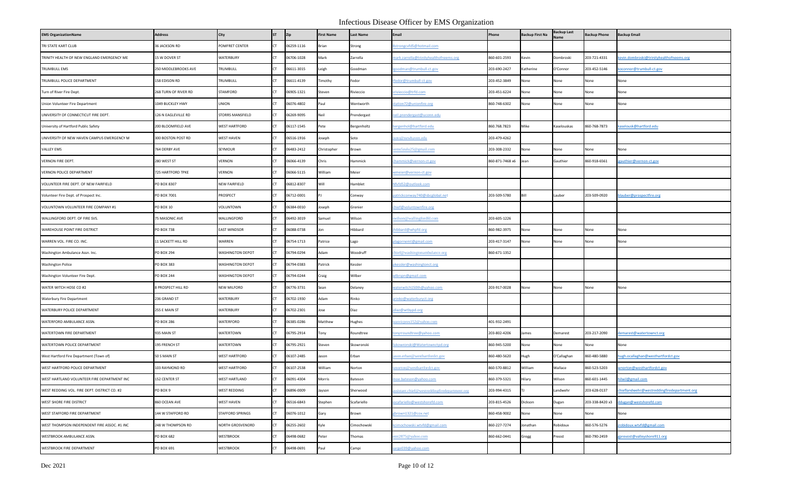| <b>EMS OrganizationName</b>                  | <b>Address</b>            | City                 | <b>ST</b> | Zip        | <b>First Name</b> | <b>Last Name</b> | Email                                       | Phone           | Backup First Na | Backup Last<br>Vame | <b>Backup Phone</b> | <b>Backup Email</b>                         |
|----------------------------------------------|---------------------------|----------------------|-----------|------------|-------------------|------------------|---------------------------------------------|-----------------|-----------------|---------------------|---------------------|---------------------------------------------|
| TRI STATE KART CLUB                          | 36 JACKSON RD             | POMFRET CENTER       | <b>CT</b> | 06259-1116 | Brian             | Strong           | strongcvfd5@hotmail.com                     |                 |                 |                     |                     |                                             |
| TRINITY HEALTH OF NEW ENGLAND EMERGENCY ME   | 15 W DOVER ST             | <b>WATERBURY</b>     | CT.       | 06706-1028 | Mark              | Zarrella         | nark.zarrella@trinityhealthofneems.org      | 860-601-2593    | Kevin           | )ombroski           | 203-721-4331        | kevin.dombroski@trinityhealthofneems.org    |
| TRUMBULL EMS                                 | 250 MIDDLEBROOKS AVE      | TRUMBULL             | CT.       | 06611-3015 | Leigh             | Goodman          | goodman@trumbull-ct.gov                     | 203-690-2427    | Katherine       | O'Connor            | 203-452-5146        | coconnor@trumbull-ct.gov                    |
| TRUMBULL POLICE DEPARTMENT                   | 158 EDISON RD             | TRUMBULL             | CT        | 06611-4139 | Timothy           | Fedor            | fedor@trumbull-ct.gov                       | 203-452-3849    | None            | None                | None                | None                                        |
| Turn of River Fire Dept.                     | 268 TURN OF RIVER RD      | STAMFORD             | CT.       | 06905-1321 | Steven            | Rivieccio        | rivieccio@trfd.com                          | 203-451-6224    | None            | None                | None                | None                                        |
| Union Volunteer Fire Department              | 1049 BUCKLEY HWY          | UNION                | CT.       | 06076-4802 | Paul              | Wentworth        | tation72@unionfire.org                      | 860-748-6302    | None            | None                | None                | None                                        |
| UNIVERSITY OF CONNECTICUT FIRE DEPT.         | 126 N EAGLEVILLE RD       | STORRS MANSFIELD     | CT        | 06269-9095 | Neil              | rendergast       | eil.prendergast@uconn.edu                   |                 |                 |                     |                     |                                             |
| University of Hartford Public Safety         | 200 BLOOMFIELD AVE        | <b>WEST HARTFORD</b> | <b>CT</b> | 06117-1545 | Pete              | Bergenholtz      | ergenhol@hartford.edu                       | 860.768.7823    | Mike            | Kaselouskas         | 860-768-7873        | kaselousk@hartford.edu                      |
| UNIVERSITY OF NEW HAVEN CAMPUS EMERGENCY M   | 300 BOSTON POST RD        | WEST HAVEN           | CT        | 06516-1916 | Joseph            | Soto             | soto@newhaven.edu                           | 203-479-4262    |                 |                     |                     |                                             |
| VALLEY EMS                                   | 764 DERBY AVE             | SEYMOUR              | CT.       | 06483-2412 | Christopher       | Brown            | ems5zulu25@gmail.com                        | 203-308-2332    | None            | None                | None                | None                                        |
| VERNON FIRE DEPT.                            | 280 WEST ST               | VERNON               | CT        | 06066-4139 | Chris             | lammick          | hammick@vernon-ct.gov                       | 860-871-7468 x6 | Jean            | Gauthier            | 860-918-6561        | gauthier@vernon-ct.gov                      |
| VERNON POLICE DEPARTMENT                     | 725 HARTFORD TPKE         | VERNON               | CT        | 06066-5115 | William           | Meier            | vmeier@vernon-ct.gov                        |                 |                 |                     |                     |                                             |
| VOLUNTEER FIRE DEPT. OF NEW FAIRFIELD        | PO BOX 8307               | <b>NEW FAIRFIELD</b> | <b>CT</b> | 06812-8307 | Will              | Hamblet          | Vfvfd52@outlook.com                         |                 |                 |                     |                     |                                             |
| Volunteer Fire Dept. of Prospect Inc.        | PO BOX 7001               | PROSPECT             | CT        | 06712-0001 |                   | Conway           | atrickconway740@sbcglobal.net               | 203-509-5780    | <b>Bill</b>     | Lauber              | 203-509-0920        | blauber@prospectfire.org                    |
| VOLUNTOWN VOLUNTEER FIRE COMPANY #1          | PO BOX 10                 | VOLUNTOWN            | CT        | 06384-0010 | Joseph            | Grenier          | hief@voluntownfire.org                      |                 |                 |                     |                     |                                             |
| WALLINGFORD DEPT. OF FIRE SVS.               | 75 MASONIC AVE            | WALLINGFORD          | <b>CT</b> | 06492-3019 | Samuel            | Wilson           | wilson@wallingfordfd.com                    | 203-605-1226    |                 |                     |                     |                                             |
| WAREHOUSE POINT FIRE DISTRICT                | PO BOX 738                | <b>EAST WINDSOR</b>  | CT.       | 06088-0738 | Jon               | Hibbard          | hibbard@whpfd.org                           | 860-982-3975    | None            | None                | None                | None                                        |
| WARREN VOL. FIRE CO. INC.                    | 11 SACKETT HILL RD        | WARREN               | CT.       | 06754-1713 | Patrice           | Lago             | olagornemt@gmail.com                        | 203-417-3147    | None            | None                | None                | None                                        |
| Washington Ambulance Assn. Inc.              | <b>PO BOX 294</b>         | WASHINGTON DEPOT     | CT        | 06794-0294 | Adam              | Woodruff         | hief@washingtonambulance.org                | 860-671-1352    |                 |                     |                     |                                             |
| <b>Washington Police</b>                     | <b>PO BOX 383</b>         | WASHINGTON DEPOT     | CT        | 06794-0383 | Patrick           | Kessler          | <u>kessler@washingtonct.org</u>             |                 |                 |                     |                     |                                             |
| Washington Volunteer Fire Dept.              | <b>PO BOX 244</b>         | WASHINGTON DEPOT     | CT        | 06794-0244 | Craig             | Wilber           | wlbrspn@gmail.com                           |                 |                 |                     |                     |                                             |
| WATER WITCH HOSE CO #2                       | <b>B PROSPECT HILL RD</b> | NEW MILFORD          | CT        | 06776-3731 | Sean              | Delaney          | vaterwitch150th@yahoo.com                   | 203-917-0028    | None            | None                | None                | None                                        |
| Waterbury Fire Department                    | 236 GRAND ST              | <b>WATERBURY</b>     | <b>CT</b> | 06702-1930 | Adam              | Rinko            | irinko@waterburyct.org                      |                 |                 |                     |                     |                                             |
| WATERBURY POLICE DEPARTMENT                  | 255 E MAIN ST             | WATERBURY            | CT        | 06702-2301 | Jose              | Diaz             | diaz@wtbypd.org                             |                 |                 |                     |                     |                                             |
| WATERFORD AMBULANCE ASSN.                    | <b>PO BOX 286</b>         | WATERFORD            | CT        | 06385-0286 | Matthew           | Hughes           | vasvicpres 152@yahoo.com                    | 401-932-2491    |                 |                     |                     |                                             |
| WATERTOWN FIRE DEPARTMENT                    | 935 MAIN ST               | WATERTOWN            | CT.       | 06795-2914 | Tony              | Roundtree        | onyrroundtree@yahoo.com                     | 203-802-4206    | James           | Demarest            | 203-217-2090        | demarest@watertownct.org                    |
| WATERTOWN POLICE DEPARTMENT                  | 195 FRENCH ST             | WATERTOWN            | CT        | 06795-2921 | Steven            | ikowronski       | iskowronski@Watertownctpd.org               | 860-945-5200    | None            | None                | None                | None                                        |
| West Hartford Fire Department (Town of)      | 50 S MAIN ST              | <b>WEST HARTFORD</b> | <b>CT</b> | 06107-2485 | Jason             | Erban            | ason.erban@westhartfordct.gov               | 860-480-5620    | Hugh            | O'Callaghan         | 860-480-5880        | hugh.ocallaghan@westhartfordct.gov          |
| WEST HARTFORD POLICE DEPARTMENT              | 103 RAYMOND RD            | <b>WEST HARTFORD</b> | CT        | 06107-2538 | William           | Norton           | vnorton@westhartfordct.gov                  | 860-570-8812    | William         | Wallace             | 360-523-5203        | vnorton@westhartfordct.gov                  |
| WEST HARTLAND VOLUNTEER FIRE DEPARTMENT INC  | 152 CENTER ST             | <b>WEST HARTLAND</b> | CT.       | 06091-4304 | Morris            | Bateson          | <u>noe.bateson@yahoo.com</u>                | 860-379-5321    | Hilary          | Wilson              | 860-601-1445        | ilwil@gmail.com                             |
| WEST REDDING VOL. FIRE DEPT. DISTRICT CO. #2 | PO BOX 9                  | <b>WEST REDDING</b>  | <b>CT</b> | 06896-0009 | Jayson            | Sherwood         | sistant.chief@westreddingfiredepartment.org | 203-994-4315    |                 | Landwehr            | 203-628-0137        | chieflandwehr@westreddingfiredepartment.org |
| WEST SHORE FIRE DISTRICT                     | 860 OCEAN AVE             | <b>WEST HAVEN</b>    | CT.       | 06516-6843 | Stephen           | Scafariello      | scafariello@westshorefd.com                 | 203-815-4526    | Dickson         | Dugan               | 203-338-8420 x3     | ddugan@westshorefd.com                      |
| WEST STAFFORD FIRE DEPARTMENT                | 144 W STAFFORD RD         | STAFFORD SPRINGS     | CT.       | 06076-1012 | Gary              | Brown            | brown1321@cox.net                           | 860-458-9002    | None            | None                | None                | None                                        |
| WEST THOMPSON INDEPENDENT FIRE ASSOC. #1 INC | 248 W THOMPSON RD         | NORTH GROSVENORD     | CT        | 06255-2602 | Kyle              | Cimochowski      | cimochowski.wtvfd@gmail.com                 | 860-227-7274    | Jonathan        | Robidoux            | 860-576-5276        | robidoux.wtvfd@gmail.com                    |
| WESTBROOK AMBULANCE ASSN.                    | PO BOX 682                | <b>WESTBROOK</b>     | CT        | 06498-0682 | Peter             | Thomas           | mt2875@yahoo.com                            | 860-662-0441    | Gregg           | reost               | 860-790-2459        | prevost@valleyshore911.org                  |
| WESTBROOK FIRE DEPARTMENT                    | PO BOX 691                | <b>WESTBROOK</b>     | CT        | 06498-0691 | Paul              | Campi            | arge039@yahoo.com                           |                 |                 |                     |                     |                                             |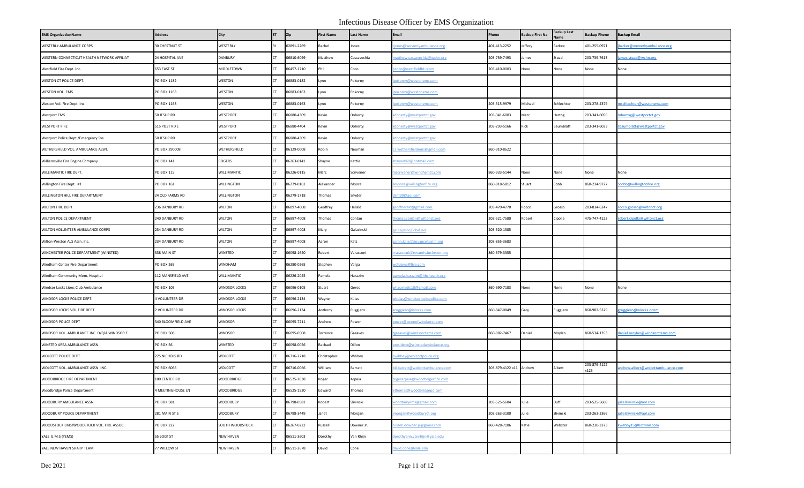| <b>EMS OrganizationName</b>                 | <b>Address</b>        | City                 | <b>ST</b> | Zip        | <b>First Name</b> | <b>Last Name</b> | Email                           | Phone                   | <b>Backup First Na</b> | Backup Last | <b>Backup Phone</b>  | <b>Backup Email</b>                   |
|---------------------------------------------|-----------------------|----------------------|-----------|------------|-------------------|------------------|---------------------------------|-------------------------|------------------------|-------------|----------------------|---------------------------------------|
| WESTERLY AMBULANCE CORPS                    | 30 CHESTNUT ST        | WESTERLY             |           | 02891-2269 | Rachel            | lones            | ones@westerlyambulance.org      | 401-413-2252            | Jeffery                | Barkee      | 401-255-0971         | parker@westerlyambulance.org          |
| WESTERN CONNECTICUT HEALTH NETWORK AFFILIAT | 24 HOSPITAL AVE       | DANBURY              |           | 06810-6099 | Matthew           | Cassavechia      | natthew.cassavechia@wchn.org    | 203-739-7493            | ames                   | Stead       | 203-739-7613         | ames.stead@wchn.org                   |
| Westfield Fire Dept. Inc.                   | 653 EAST ST           | MIDDLETOWN           |           | 06457-1710 | Phil              | Coco             | coco@westfieldfd.ccom           | 203-410-0003            | None                   | None        | None                 | None                                  |
| WESTON CT POLICE DEPT.                      | PO BOX 1182           | WESTON               |           | 06883-0182 | Lynn              | Pokorny          | okorny@westonems.com            |                         |                        |             |                      |                                       |
| WESTON VOL. EMS                             | PO BOX 1163           | WESTON               |           | 06883-0163 | Lynn              | Pokorny          | okorny@westonems.com            |                         |                        |             |                      |                                       |
| Weston Vol. Fire Dept. Inc.                 | PO BOX 1163           | WESTON               |           | 06883-0163 | Lynn              | Pokorny          | ookorny@westonems.com           | 203-515-9979            | Michael                | Schlechter  | 203-278-4379         | nschlechter@westonems.com             |
| <b>Westport EMS</b>                         | 50 JESUP RD           | WESTPORT             |           | 06880-4309 | Kevin             | Doherty          | doherty@westportct.gov          | 203-341-6003            | Marc                   | lartog      | 203-341-6056         | nhartog@westportct.gov                |
| <b>WESTPORT FIRE</b>                        | 515 POST RD E         | WESTPORT             |           | 06880-4404 | Kevin             | Doherty          | doherty@westportct.gov          | 203-293-5166            | Rick                   | Baumblatt   | 203-341-6033         | baumblatt@westportct.gov              |
| Westport Police Dept./Emergency Svs.        | 50 JESUP RD           | WESTPORT             |           | 06880-4309 | Kevin             | Doherty          | doherty@westportct.gov          |                         |                        |             |                      |                                       |
| WETHERSFIELD VOL. AMBULANCE ASSN.           | PO BOX 290008         | WETHERSFIELD         |           | 06129-0008 | Robin             | Neuman           | 8.wethersfieldems@gmail.com     | 860-910-8622            |                        |             |                      |                                       |
| Williamsville Fire Engine Company           | PO BOX 141            | ROGERS               |           | 06263-0141 | Shayne            | Kettle           | haynek60@hotmail.com            |                         |                        |             |                      |                                       |
| WILLIMANTIC FIRE DEPT.                      | PO BOX 115            | WILLIMANTIC          |           | 06226-0115 | Marc              | Scrivener        | nscrivener@windhamct.com        | 860-933-5144            | None                   | None        | None                 | None                                  |
| Willington Fire Dept. #1                    | PO BOX 161            | WILLINGTON           |           | 06279-0161 | Alexander         | Moore            | moore@willingtonfire.org        | 860-818-5812            | Stuart                 | Cobb        | 860-234-9777         | cobb@willingtonfire.org               |
| WILLINGTON HILL FIRE DEPARTMENT             | 24 OLD FARMS RD       | WILLINGTON           |           | 06279-1718 | Thomas            | Snyder           | snt99@aol.com                   |                         |                        |             |                      |                                       |
| WILTON FIRE DEPT.                           | 236 DANBURY RD        | <b>WILTON</b>        |           | 06897-4008 | Geoffrey          | Herald           | eoffherald@gmail.com            | 203-470-4770            | Rocco                  | Grosso      | 203-834-6247         | occo.grosso@wiltonct.org              |
| WILTON POLICE DEPARTMENT                    | 240 DANBURY RD        | <b>WILTON</b>        |           | 06897-4008 | Thomas            | Contan           | nomas.conlan@wiltonct.org       | 203-521-7580            | Robert                 | Cipolla     | 475-747-4122         | obert.cipolla@wiltonct.org            |
| WILTON VOLUNTEER AMBULANCE CORPS            | 234 DANBURY RD        | <b>WILTON</b>        |           | 06897-4008 | Mary              | Galasinski       | ala3@sbcglobal.net              | 203-520-1585            |                        |             |                      |                                       |
| Wilton-Weston ALS Assn. Inc.                | 234 DANBURY RD        | WILTON               |           | 06897-4008 | Aaron             | Katz             | aron.katz@nuvancehealth.org     | 203-855-3683            |                        |             |                      |                                       |
| WINCHESTER POLICE DEPARTMENT (WINSTED)      | 338 MAIN ST           | WINSTED              |           | 06098-1640 | Robert            | Varasconi        | varasconi@townofwinchester.org  | 860-379-3355            |                        |             |                      |                                       |
| Windham Center Fire Department              | PO BOX 265            | <b>WINDHAM</b>       |           | 06280-0265 | Stephen           | Varga            | rcfdems@live.com                |                         |                        |             |                      |                                       |
| Windham Community Mem. Hospital             | 112 MANSFIELD AVE     | WILLIMANTIC          |           | 06226-2045 | Pamela            | Harazim          | amela.harazim@hhchealth.org     |                         |                        |             |                      |                                       |
| Windsor Locks Lions Club Ambulance          | PO BOX 105            | <b>WINDSOR LOCKS</b> |           | 06096-0105 | Stuart            | Geres            | vllacmedic10@gmail.com          | 860-690-7183            | None                   | None        | None                 | None                                  |
| WINDSOR LOCKS POLICE DEPT.                  | <b>1 VOLUNTEER DR</b> | <b>WINDSOR LOCKS</b> |           | 06096-2134 | Wayne             | Kulas            | vkulas@windsorlockspolice.com   |                         |                        |             |                      |                                       |
| WINDSOR LOCKS VOL FIRE DEPT                 | 2 VOLUNTEER DR        | <b>WINDSOR LOCKS</b> |           | 06096-2134 | Anthony           | Ruggiero         | ruggiero@wlocks.com             | 860-847-0849            | Gary                   | Ruggiero    | 860-982-5329         | truggiero@wlocks.ocom                 |
| WINDSOR POLICE DEPT                         | 340 BLOOMFIELD AVE    | WINDSOR              |           | 06095-7211 | Andrew            | Power            | ower@townofwindsorct.com        |                         |                        |             |                      |                                       |
| WINDSOR VOL. AMBULANCE INC. D/B/A WINDSOR E | PO BOX 508            | WINDSOR              |           | 06095-0508 | Terrence          | Greaves          | <u>greaves@windsorctems.com</u> | 860-982-7467            | Daniel                 | Moylan      | 860-534-1353         | <u>laniel.moylan@windsorctems.com</u> |
| WINSTED AREA AMBULANCE ASSN.                | <b>PO BOX 56</b>      | WINSTED              |           | 06098-0056 | Rachael           | Dillon           | resident@winstedambulance.org   |                         |                        |             |                      |                                       |
| WOLCOTT POLICE DEPT.                        | 225 NICHOLS RD        | WOLCOTT              |           | 06716-2718 | Christopher       | Wihbey           | wihbey@wolcottpolice.org        |                         |                        |             |                      |                                       |
| WOLCOTT VOL. AMBULANCE ASSN. INC.           | PO BOX 6066           | WOLCOTT              |           | 06716-0066 | William           | Barratt          | il.barratt@wolcottambulance.com | 203-879-4122 x11 Andrew |                        | Albert      | 203-879-4122<br>x125 | andrew.albert@wolcottambulance.com    |
| WOODBRIDGE FIRE DEPARTMENT                  | 100 CENTER RD         | <b>WOODBRIDGE</b>    |           | 06525-1838 | Roger             | Arpaia           | ogerarpaia@woodbrigerfire.com   |                         |                        |             |                      |                                       |
| Woodbridge Police Department                | 4 MEETINGHOUSE LN     | WOODBRIDGE           | CT.       | 06525-1520 | Edward            | Thomas           | thomas@woodbridgepd.com         |                         |                        |             |                      |                                       |
| WOODBURY AMBULANCE ASSN.                    | PO BOX 581            | <b>WOODBURY</b>      |           | 06798-0581 | Robert            | Slivinski        | voodburyems@gmail.com           | 203-525-5604            | Julie                  | Duff        | 203-525-5608         | ulielslivinski@aol.com                |
| WOODBURY POLICE DEPARTMENT                  | 281 MAIN ST S         | <b>WOODBURY</b>      |           | 06798-3449 | Janet             | Morgan           | norgan@woodburyct.org           | 203-263-3100            | Julie                  | Slivinski   | 203-263-2366         | ulielslivinski@aol.com                |
| WOODSTOCK EMS/WOODSTOCK VOL. FIRE ASSOC.    | <b>PO BOX 222</b>     | SOUTH WOODSTOCK      |           | 06267-0222 | Russell           | Downer Jr.       | ussell.downer.jr@gmail.com      | 860-428-7106            | Katie                  | Webster     | 860-230-3373         | webby15@hotmail.com                   |
| YALE E.M.S (YEMS)                           | 55 LOCK ST            | <b>NEW HAVEN</b>     |           | 06511-3603 | Dorothy           | Van Rhijn        | orothyann.vanrhijn@yale.edu     |                         |                        |             |                      |                                       |
| YALE NEW HAVEN SHARP TEAM                   | 77 WILLOW ST          | <b>NEW HAVEN</b>     |           | 06511-2678 | David             | Cone             | avid.cone@yale.edu              |                         |                        |             |                      |                                       |